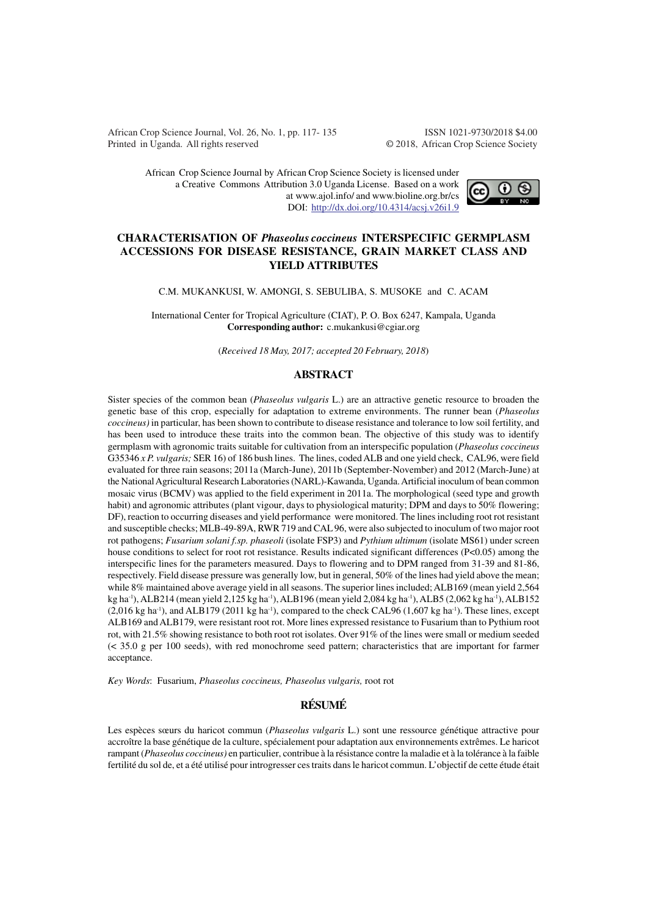African Crop Science Journal, Vol. 26, No. 1, pp. 117- 135 ISSN 1021-9730/2018 \$4.00 Printed in Uganda. All rights reserved © 2018, African Crop Science Society

African Crop Science Journal by African Crop Science Society is licensed under a Creative Commons Attribution 3.0 Uganda License. Based on a work at www.ajol.info/ and www.bioline.org.br/cs DOI: http://dx.doi.org/10.4314/acsj.v26i1.9



# **CHARACTERISATION OF** *Phaseolus coccineus* **INTERSPECIFIC GERMPLASM ACCESSIONS FOR DISEASE RESISTANCE, GRAIN MARKET CLASS AND YIELD ATTRIBUTES**

C.M. MUKANKUSI, W. AMONGI, S. SEBULIBA, S. MUSOKE and C. ACAM

International Center for Tropical Agriculture (CIAT), P. O. Box 6247, Kampala, Uganda **Corresponding author:** c.mukankusi@cgiar.org

(*Received 18 May, 2017; accepted 20 February, 2018*)

#### **ABSTRACT**

Sister species of the common bean (*Phaseolus vulgaris* L.) are an attractive genetic resource to broaden the genetic base of this crop, especially for adaptation to extreme environments. The runner bean (*Phaseolus coccineus)* in particular, has been shown to contribute to disease resistance and tolerance to low soil fertility, and has been used to introduce these traits into the common bean. The objective of this study was to identify germplasm with agronomic traits suitable for cultivation from an interspecific population (*Phaseolus coccineus* G35346 *x P. vulgaris;* SER 16) of 186 bush lines. The lines, coded ALB and one yield check, CAL96, were field evaluated for three rain seasons; 2011a (March-June), 2011b (September-November) and 2012 (March-June) at the National Agricultural Research Laboratories (NARL)-Kawanda, Uganda. Artificial inoculum of bean common mosaic virus (BCMV) was applied to the field experiment in 2011a. The morphological (seed type and growth habit) and agronomic attributes (plant vigour, days to physiological maturity; DPM and days to 50% flowering; DF), reaction to occurring diseases and yield performance were monitored. The lines including root rot resistant and susceptible checks; MLB-49-89A, RWR 719 and CAL 96, were also subjected to inoculum of two major root rot pathogens; *Fusarium solani f.sp. phaseoli* (isolate FSP3) and *Pythium ultimum* (isolate MS61) under screen house conditions to select for root rot resistance. Results indicated significant differences (P<0.05) among the interspecific lines for the parameters measured. Days to flowering and to DPM ranged from 31-39 and 81-86, respectively. Field disease pressure was generally low, but in general, 50% of the lines had yield above the mean; while 8% maintained above average yield in all seasons. The superior lines included; ALB169 (mean yield 2,564 kg ha<sup>-1</sup>), ALB214 (mean yield 2,125 kg ha<sup>-1</sup>), ALB196 (mean yield 2,084 kg ha<sup>-1</sup>), ALB5 (2,062 kg ha<sup>-1</sup>), ALB152  $(2,016 \text{ kg ha}^{-1})$ , and ALB179  $(2011 \text{ kg ha}^{-1})$ , compared to the check CAL96  $(1,607 \text{ kg ha}^{-1})$ . These lines, except ALB169 and ALB179, were resistant root rot. More lines expressed resistance to Fusarium than to Pythium root rot, with 21.5% showing resistance to both root rot isolates. Over 91% of the lines were small or medium seeded (< 35.0 g per 100 seeds), with red monochrome seed pattern; characteristics that are important for farmer acceptance.

*Key Words*: Fusarium, *Phaseolus coccineus, Phaseolus vulgaris,* root rot

# **RÉSUMÉ**

Les espèces sœurs du haricot commun (*Phaseolus vulgaris* L.) sont une ressource génétique attractive pour accroître la base génétique de la culture, spécialement pour adaptation aux environnements extrêmes. Le haricot rampant (*Phaseolus coccineus)* en particulier, contribue à la résistance contre la maladie et à la tolérance à la faible fertilité du sol de, et a été utilisé pour introgresser ces traits dans le haricot commun. L'objectif de cette étude était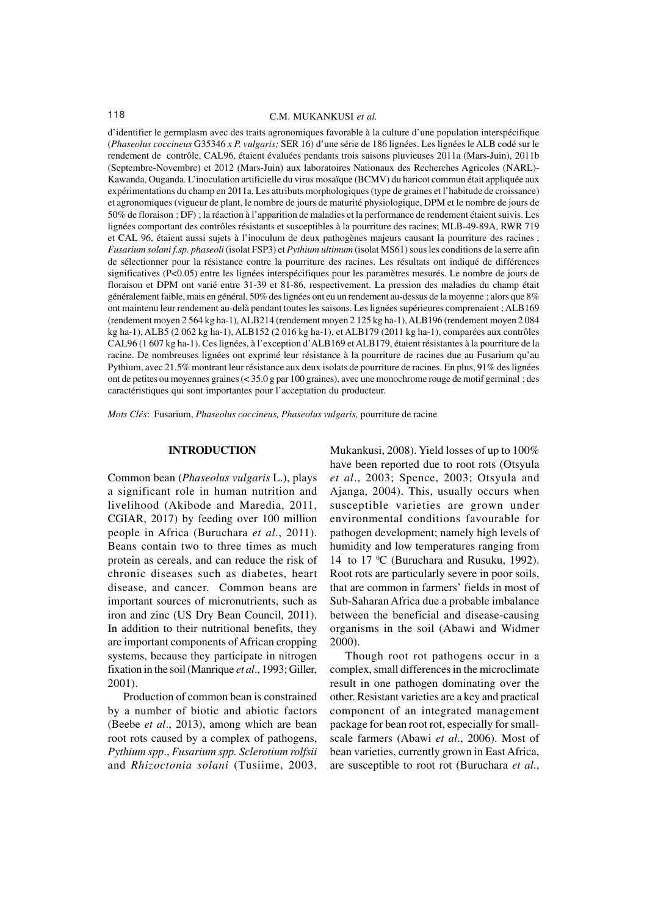#### 118 C.M. MUKANKUSI *et al.*

d'identifier le germplasm avec des traits agronomiques favorable à la culture d'une population interspécifique (*Phaseolus coccineus* G35346 *x P. vulgaris;* SER 16) d'une série de 186 lignées. Les lignées le ALB codé sur le rendement de contrôle, CAL96, étaient évaluées pendants trois saisons pluvieuses 2011a (Mars-Juin), 2011b (Septembre-Novembre) et 2012 (Mars-Juin) aux laboratoires Nationaux des Recherches Agricoles (NARL)- Kawanda, Ouganda. L'inoculation artificielle du virus mosaïque (BCMV) du haricot commun était appliquée aux expérimentations du champ en 2011a. Les attributs morphologiques (type de graines et l'habitude de croissance) et agronomiques (vigueur de plant, le nombre de jours de maturité physiologique, DPM et le nombre de jours de 50% de floraison ; DF) ; la réaction à l'apparition de maladies et la performance de rendement étaient suivis. Les lignées comportant des contrôles résistants et susceptibles à la pourriture des racines; MLB-49-89A, RWR 719 et CAL 96, étaient aussi sujets à l'inoculum de deux pathogènes majeurs causant la pourriture des racines ; *Fusarium solani f.sp. phaseoli* (isolat FSP3) et *Pythium ultimum* (isolat MS61) sous les conditions de la serre afin de sélectionner pour la résistance contre la pourriture des racines. Les résultats ont indiqué de différences significatives (P<0.05) entre les lignées interspécifiques pour les paramètres mesurés. Le nombre de jours de floraison et DPM ont varié entre 31-39 et 81-86, respectivement. La pression des maladies du champ était généralement faible, mais en général, 50% des lignées ont eu un rendement au-dessus de la moyenne ; alors que 8% ont maintenu leur rendement au-delà pendant toutes les saisons. Les lignées supérieures comprenaient ; ALB169 (rendement moyen 2 564 kg ha-1), ALB214 (rendement moyen 2 125 kg ha-1), ALB196 (rendement moyen 2 084 kg ha-1), ALB5 (2 062 kg ha-1), ALB152 (2 016 kg ha-1), et ALB179 (2011 kg ha-1), comparées aux contrôles CAL96 (1 607 kg ha-1). Ces lignées, à l'exception d'ALB169 et ALB179, étaient résistantes à la pourriture de la racine. De nombreuses lignées ont exprimé leur résistance à la pourriture de racines due au Fusarium qu'au Pythium, avec 21.5% montrant leur résistance aux deux isolats de pourriture de racines. En plus, 91% des lignées ont de petites ou moyennes graines (< 35.0 g par 100 graines), avec une monochrome rouge de motif germinal ; des caractéristiques qui sont importantes pour l'acceptation du producteur.

*Mots Clés*: Fusarium, *Phaseolus coccineus, Phaseolus vulgaris,* pourriture de racine

#### **INTRODUCTION**

Common bean (*Phaseolus vulgaris* L.), plays a significant role in human nutrition and livelihood (Akibode and Maredia, 2011, CGIAR, 2017) by feeding over 100 million people in Africa (Buruchara *et al*., 2011). Beans contain two to three times as much protein as cereals, and can reduce the risk of chronic diseases such as diabetes, heart disease, and cancer. Common beans are important sources of micronutrients, such as iron and zinc (US Dry Bean Council, 2011). In addition to their nutritional benefits, they are important components of African cropping systems, because they participate in nitrogen fixation in the soil (Manrique *et al*., 1993; Giller, 2001).

Production of common bean is constrained by a number of biotic and abiotic factors (Beebe *et al*., 2013), among which are bean root rots caused by a complex of pathogens, *Pythium spp*., *Fusarium spp. Sclerotium rolfsii* and *Rhizoctonia solani* (Tusiime, 2003,

Mukankusi, 2008). Yield losses of up to 100% have been reported due to root rots (Otsyula *et al*., 2003; Spence, 2003; Otsyula and Ajanga, 2004). This, usually occurs when susceptible varieties are grown under environmental conditions favourable for pathogen development; namely high levels of humidity and low temperatures ranging from 14 to 17  $\mathrm{C}$  (Buruchara and Rusuku, 1992). Root rots are particularly severe in poor soils, that are common in farmers' fields in most of Sub-Saharan Africa due a probable imbalance between the beneficial and disease-causing organisms in the soil (Abawi and Widmer 2000).

Though root rot pathogens occur in a complex, small differences in the microclimate result in one pathogen dominating over the other. Resistant varieties are a key and practical component of an integrated management package for bean root rot, especially for smallscale farmers (Abawi *et al*., 2006). Most of bean varieties, currently grown in East Africa, are susceptible to root rot (Buruchara *et al*.,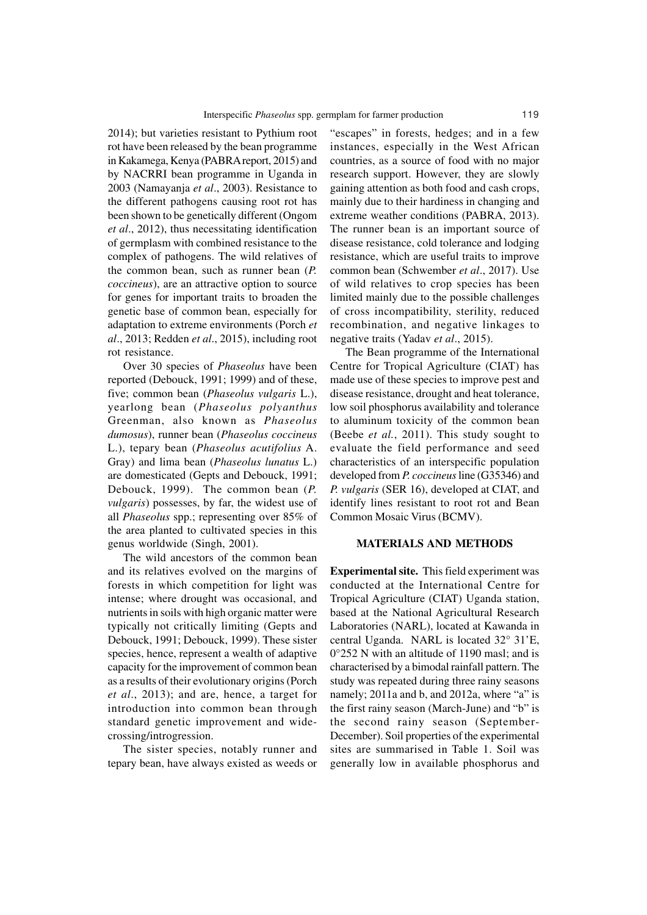2014); but varieties resistant to Pythium root rot have been released by the bean programme in Kakamega, Kenya (PABRA report, 2015) and by NACRRI bean programme in Uganda in 2003 (Namayanja *et al*., 2003). Resistance to the different pathogens causing root rot has been shown to be genetically different (Ongom *et al*., 2012), thus necessitating identification of germplasm with combined resistance to the complex of pathogens. The wild relatives of the common bean, such as runner bean (*P. coccineus*), are an attractive option to source for genes for important traits to broaden the genetic base of common bean, especially for adaptation to extreme environments (Porch *et al*., 2013; Redden *et al*., 2015), including root rot resistance.

Over 30 species of *Phaseolus* have been reported (Debouck, 1991; 1999) and of these, five; common bean (*Phaseolus vulgaris* L.), yearlong bean (*Phaseolus polyanthus* Greenman, also known as *Phaseolus dumosus*), runner bean (*Phaseolus coccineus* L.), tepary bean (*Phaseolus acutifolius* A. Gray) and lima bean (*Phaseolus lunatus* L.) are domesticated (Gepts and Debouck, 1991; Debouck, 1999). The common bean (*P. vulgaris*) possesses, by far, the widest use of all *Phaseolus* spp.; representing over 85% of the area planted to cultivated species in this genus worldwide (Singh, 2001).

The wild ancestors of the common bean and its relatives evolved on the margins of forests in which competition for light was intense; where drought was occasional, and nutrients in soils with high organic matter were typically not critically limiting (Gepts and Debouck, 1991; Debouck, 1999). These sister species, hence, represent a wealth of adaptive capacity for the improvement of common bean as a results of their evolutionary origins (Porch *et al*., 2013); and are, hence, a target for introduction into common bean through standard genetic improvement and widecrossing/introgression.

The sister species, notably runner and tepary bean, have always existed as weeds or "escapes" in forests, hedges; and in a few instances, especially in the West African countries, as a source of food with no major research support. However, they are slowly gaining attention as both food and cash crops, mainly due to their hardiness in changing and extreme weather conditions (PABRA, 2013). The runner bean is an important source of disease resistance, cold tolerance and lodging resistance, which are useful traits to improve common bean (Schwember *et al*., 2017). Use of wild relatives to crop species has been limited mainly due to the possible challenges of cross incompatibility, sterility, reduced recombination, and negative linkages to negative traits (Yadav *et al*., 2015).

The Bean programme of the International Centre for Tropical Agriculture (CIAT) has made use of these species to improve pest and disease resistance, drought and heat tolerance, low soil phosphorus availability and tolerance to aluminum toxicity of the common bean (Beebe *et al.*, 2011). This study sought to evaluate the field performance and seed characteristics of an interspecific population developed from *P. coccineus* line (G35346) and *P. vulgaris* (SER 16), developed at CIAT, and identify lines resistant to root rot and Bean Common Mosaic Virus (BCMV).

#### **MATERIALS AND METHODS**

**Experimental site.** This field experiment was conducted at the International Centre for Tropical Agriculture (CIAT) Uganda station, based at the National Agricultural Research Laboratories (NARL), located at Kawanda in central Uganda. NARL is located 32° 31'E, 0°252 N with an altitude of 1190 masl; and is characterised by a bimodal rainfall pattern. The study was repeated during three rainy seasons namely; 2011a and b, and 2012a, where "a" is the first rainy season (March-June) and "b" is the second rainy season (September-December). Soil properties of the experimental sites are summarised in Table 1. Soil was generally low in available phosphorus and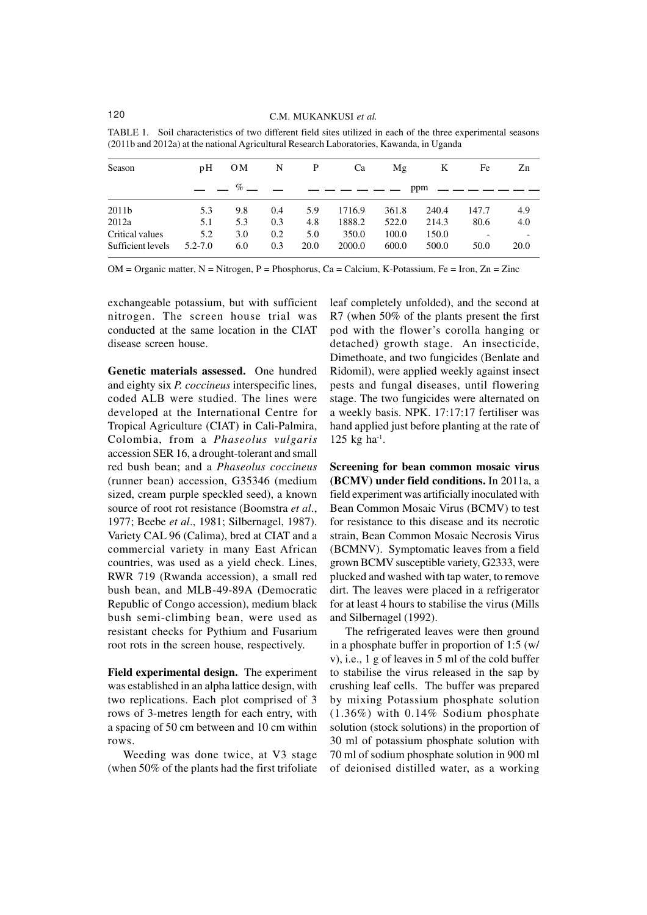| Season            | pΗ          | 0M                           | N   | P    | Ca          | Mg    | K     | Fe     | Zn   |
|-------------------|-------------|------------------------------|-----|------|-------------|-------|-------|--------|------|
|                   |             | $%$ $\overline{\phantom{0}}$ |     |      | ___________ |       | ppm   | ______ |      |
| 2011b             | 5.3         | 9.8                          | 0.4 | 5.9  | 1716.9      | 361.8 | 240.4 | 147.7  | 4.9  |
| 2012a             | 5.1         | 5.3                          | 0.3 | 4.8  | 1888.2      | 522.0 | 214.3 | 80.6   | 4.0  |
| Critical values   | 5.2         | 3.0                          | 0.2 | 5.0  | 350.0       | 100.0 | 150.0 |        |      |
| Sufficient levels | $5.2 - 7.0$ | 6.0                          | 0.3 | 20.0 | 2000.0      | 600.0 | 500.0 | 50.0   | 20.0 |

TABLE 1. Soil characteristics of two different field sites utilized in each of the three experimental seasons (2011b and 2012a) at the national Agricultural Research Laboratories, Kawanda, in Uganda

OM = Organic matter, N = Nitrogen, P = Phosphorus, Ca = Calcium, K-Potassium, Fe = Iron, Zn = Zinc

exchangeable potassium, but with sufficient nitrogen. The screen house trial was conducted at the same location in the CIAT disease screen house.

**Genetic materials assessed.** One hundred and eighty six *P. coccineus* interspecific lines, coded ALB were studied. The lines were developed at the International Centre for Tropical Agriculture (CIAT) in Cali-Palmira, Colombia, from a *Phaseolus vulgaris* accession SER 16, a drought-tolerant and small red bush bean; and a *Phaseolus coccineus* (runner bean) accession, G35346 (medium sized, cream purple speckled seed), a known source of root rot resistance (Boomstra *et al*., 1977; Beebe *et al*., 1981; Silbernagel, 1987). Variety CAL 96 (Calima), bred at CIAT and a commercial variety in many East African countries, was used as a yield check. Lines, RWR 719 (Rwanda accession), a small red bush bean, and MLB-49-89A (Democratic Republic of Congo accession), medium black bush semi-climbing bean, were used as resistant checks for Pythium and Fusarium root rots in the screen house, respectively.

**Field experimental design.** The experiment was established in an alpha lattice design, with two replications. Each plot comprised of 3 rows of 3-metres length for each entry, with a spacing of 50 cm between and 10 cm within rows.

Weeding was done twice, at V3 stage (when 50% of the plants had the first trifoliate leaf completely unfolded), and the second at R7 (when 50% of the plants present the first pod with the flower's corolla hanging or detached) growth stage. An insecticide, Dimethoate, and two fungicides (Benlate and Ridomil), were applied weekly against insect pests and fungal diseases, until flowering stage. The two fungicides were alternated on a weekly basis. NPK. 17:17:17 fertiliser was hand applied just before planting at the rate of  $125$  kg ha<sup>-1</sup>.

**Screening for bean common mosaic virus (BCMV) under field conditions.** In 2011a, a field experiment was artificially inoculated with Bean Common Mosaic Virus (BCMV) to test for resistance to this disease and its necrotic strain, Bean Common Mosaic Necrosis Virus (BCMNV). Symptomatic leaves from a field grown BCMV susceptible variety, G2333, were plucked and washed with tap water, to remove dirt. The leaves were placed in a refrigerator for at least 4 hours to stabilise the virus (Mills and Silbernagel (1992).

The refrigerated leaves were then ground in a phosphate buffer in proportion of 1:5 (w/ v), i.e., 1 g of leaves in 5 ml of the cold buffer to stabilise the virus released in the sap by crushing leaf cells. The buffer was prepared by mixing Potassium phosphate solution (1.36%) with 0.14% Sodium phosphate solution (stock solutions) in the proportion of 30 ml of potassium phosphate solution with 70 ml of sodium phosphate solution in 900 ml of deionised distilled water, as a working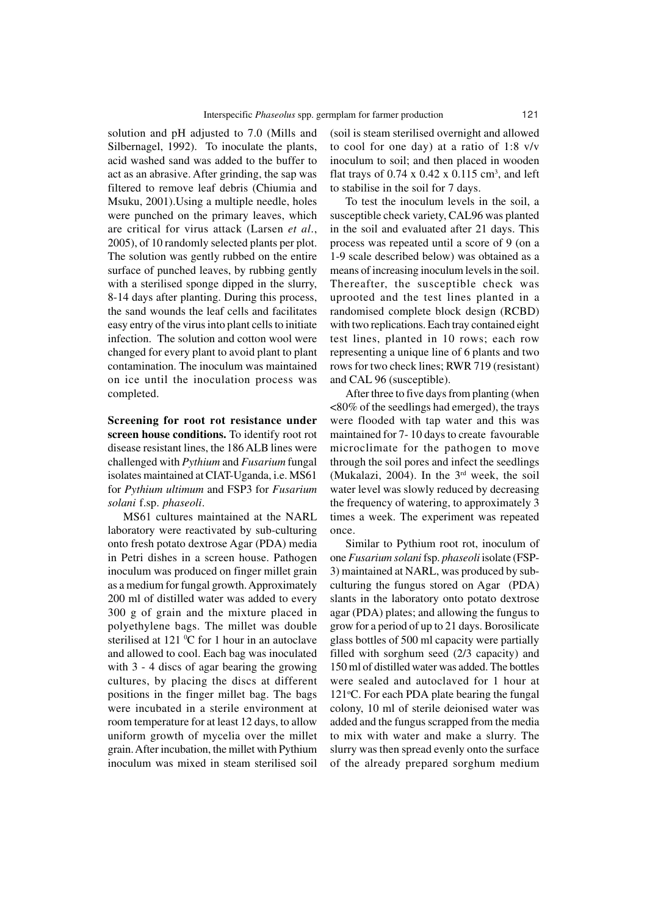solution and pH adjusted to 7.0 (Mills and Silbernagel, 1992). To inoculate the plants, acid washed sand was added to the buffer to act as an abrasive. After grinding, the sap was filtered to remove leaf debris (Chiumia and Msuku, 2001).Using a multiple needle, holes were punched on the primary leaves, which are critical for virus attack (Larsen *et al*., 2005), of 10 randomly selected plants per plot. The solution was gently rubbed on the entire surface of punched leaves, by rubbing gently with a sterilised sponge dipped in the slurry, 8-14 days after planting. During this process, the sand wounds the leaf cells and facilitates easy entry of the virus into plant cells to initiate infection. The solution and cotton wool were changed for every plant to avoid plant to plant contamination. The inoculum was maintained on ice until the inoculation process was completed.

**Screening for root rot resistance under screen house conditions.** To identify root rot disease resistant lines, the 186 ALB lines were challenged with *Pythium* and *Fusarium* fungal isolates maintained at CIAT-Uganda, i.e. MS61 for *Pythium ultimum* and FSP3 for *Fusarium solani* f.sp. *phaseoli*.

MS61 cultures maintained at the NARL laboratory were reactivated by sub-culturing onto fresh potato dextrose Agar (PDA) media in Petri dishes in a screen house. Pathogen inoculum was produced on finger millet grain as a medium for fungal growth. Approximately 200 ml of distilled water was added to every 300 g of grain and the mixture placed in polyethylene bags. The millet was double sterilised at 121  $\mathrm{^0C}$  for 1 hour in an autoclave and allowed to cool. Each bag was inoculated with 3 - 4 discs of agar bearing the growing cultures, by placing the discs at different positions in the finger millet bag. The bags were incubated in a sterile environment at room temperature for at least 12 days, to allow uniform growth of mycelia over the millet grain. After incubation, the millet with Pythium inoculum was mixed in steam sterilised soil

(soil is steam sterilised overnight and allowed to cool for one day) at a ratio of 1:8 v/v inoculum to soil; and then placed in wooden flat trays of  $0.74 \times 0.42 \times 0.115$  cm<sup>3</sup>, and left to stabilise in the soil for 7 days.

To test the inoculum levels in the soil, a susceptible check variety, CAL96 was planted in the soil and evaluated after 21 days. This process was repeated until a score of 9 (on a 1-9 scale described below) was obtained as a means of increasing inoculum levels in the soil. Thereafter, the susceptible check was uprooted and the test lines planted in a randomised complete block design (RCBD) with two replications. Each tray contained eight test lines, planted in 10 rows; each row representing a unique line of 6 plants and two rows for two check lines; RWR 719 (resistant) and CAL 96 (susceptible).

After three to five days from planting (when <80% of the seedlings had emerged), the trays were flooded with tap water and this was maintained for 7- 10 days to create favourable microclimate for the pathogen to move through the soil pores and infect the seedlings (Mukalazi, 2004). In the  $3<sup>rd</sup>$  week, the soil water level was slowly reduced by decreasing the frequency of watering, to approximately 3 times a week. The experiment was repeated once.

Similar to Pythium root rot, inoculum of one *Fusarium solani* fsp. *phaseoli* isolate (FSP-3) maintained at NARL, was produced by subculturing the fungus stored on Agar (PDA) slants in the laboratory onto potato dextrose agar (PDA) plates; and allowing the fungus to grow for a period of up to 21 days. Borosilicate glass bottles of 500 ml capacity were partially filled with sorghum seed (2/3 capacity) and 150 ml of distilled water was added. The bottles were sealed and autoclaved for 1 hour at 121 $\degree$ C. For each PDA plate bearing the fungal colony, 10 ml of sterile deionised water was added and the fungus scrapped from the media to mix with water and make a slurry. The slurry was then spread evenly onto the surface of the already prepared sorghum medium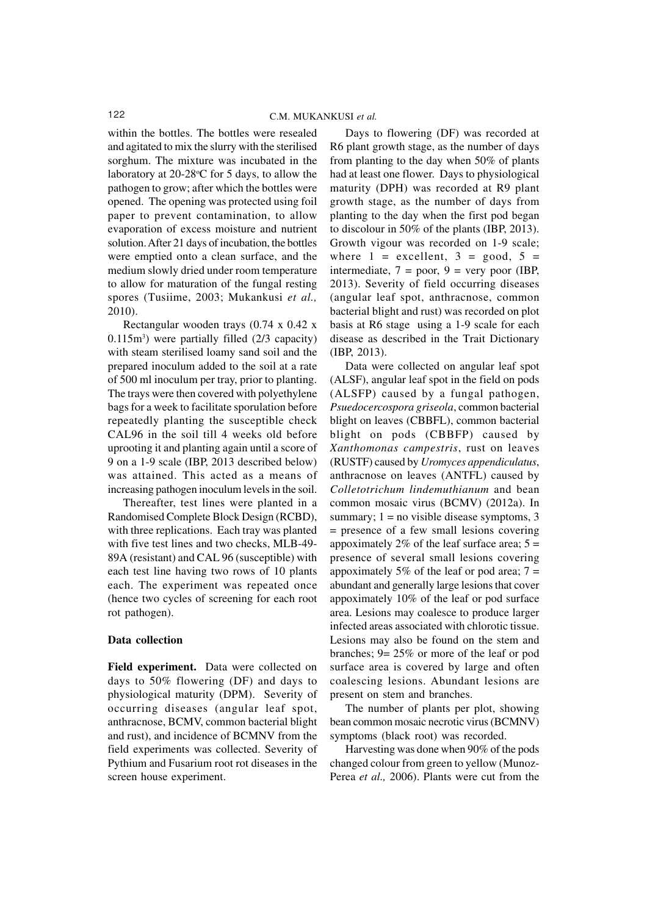within the bottles. The bottles were resealed and agitated to mix the slurry with the sterilised sorghum. The mixture was incubated in the laboratory at  $20-28$ °C for 5 days, to allow the pathogen to grow; after which the bottles were opened. The opening was protected using foil paper to prevent contamination, to allow evaporation of excess moisture and nutrient solution. After 21 days of incubation, the bottles were emptied onto a clean surface, and the medium slowly dried under room temperature to allow for maturation of the fungal resting spores (Tusiime, 2003; Mukankusi *et al.,* 2010).

Rectangular wooden trays (0.74 x 0.42 x 0.115m<sup>3</sup> ) were partially filled (2/3 capacity) with steam sterilised loamy sand soil and the prepared inoculum added to the soil at a rate of 500 ml inoculum per tray, prior to planting. The trays were then covered with polyethylene bags for a week to facilitate sporulation before repeatedly planting the susceptible check CAL96 in the soil till 4 weeks old before uprooting it and planting again until a score of 9 on a 1-9 scale (IBP, 2013 described below) was attained. This acted as a means of increasing pathogen inoculum levels in the soil.

Thereafter, test lines were planted in a Randomised Complete Block Design (RCBD), with three replications. Each tray was planted with five test lines and two checks, MLB-49- 89A (resistant) and CAL 96 (susceptible) with each test line having two rows of 10 plants each. The experiment was repeated once (hence two cycles of screening for each root rot pathogen).

#### **Data collection**

**Field experiment.** Data were collected on days to 50% flowering (DF) and days to physiological maturity (DPM). Severity of occurring diseases (angular leaf spot, anthracnose, BCMV, common bacterial blight and rust), and incidence of BCMNV from the field experiments was collected. Severity of Pythium and Fusarium root rot diseases in the screen house experiment.

Days to flowering (DF) was recorded at R6 plant growth stage, as the number of days from planting to the day when 50% of plants had at least one flower. Days to physiological maturity (DPH) was recorded at R9 plant growth stage, as the number of days from planting to the day when the first pod began to discolour in 50% of the plants (IBP, 2013). Growth vigour was recorded on 1-9 scale; where  $1 = \text{excellent}, 3 = \text{good}, 5 = \text{const}$ intermediate,  $7 = poor$ ,  $9 = very poor$  (IBP, 2013). Severity of field occurring diseases (angular leaf spot, anthracnose, common bacterial blight and rust) was recorded on plot basis at R6 stage using a 1-9 scale for each disease as described in the Trait Dictionary (IBP, 2013).

Data were collected on angular leaf spot (ALSF), angular leaf spot in the field on pods (ALSFP) caused by a fungal pathogen, *Psuedocercospora griseola*, common bacterial blight on leaves (CBBFL), common bacterial blight on pods (CBBFP) caused by *Xanthomonas campestris*, rust on leaves (RUSTF) caused by *Uromyces appendiculatus*, anthracnose on leaves (ANTFL) caused by *Colletotrichum lindemuthianum* and bean common mosaic virus (BCMV) (2012a). In summary;  $1 = no$  visible disease symptoms, 3 = presence of a few small lesions covering appoximately 2% of the leaf surface area;  $5 =$ presence of several small lesions covering appoximately 5% of the leaf or pod area;  $7 =$ abundant and generally large lesions that cover appoximately 10% of the leaf or pod surface area. Lesions may coalesce to produce larger infected areas associated with chlorotic tissue. Lesions may also be found on the stem and branches; 9= 25% or more of the leaf or pod surface area is covered by large and often coalescing lesions. Abundant lesions are present on stem and branches.

The number of plants per plot, showing bean common mosaic necrotic virus (BCMNV) symptoms (black root) was recorded.

Harvesting was done when 90% of the pods changed colour from green to yellow (Munoz-Perea *et al.,* 2006). Plants were cut from the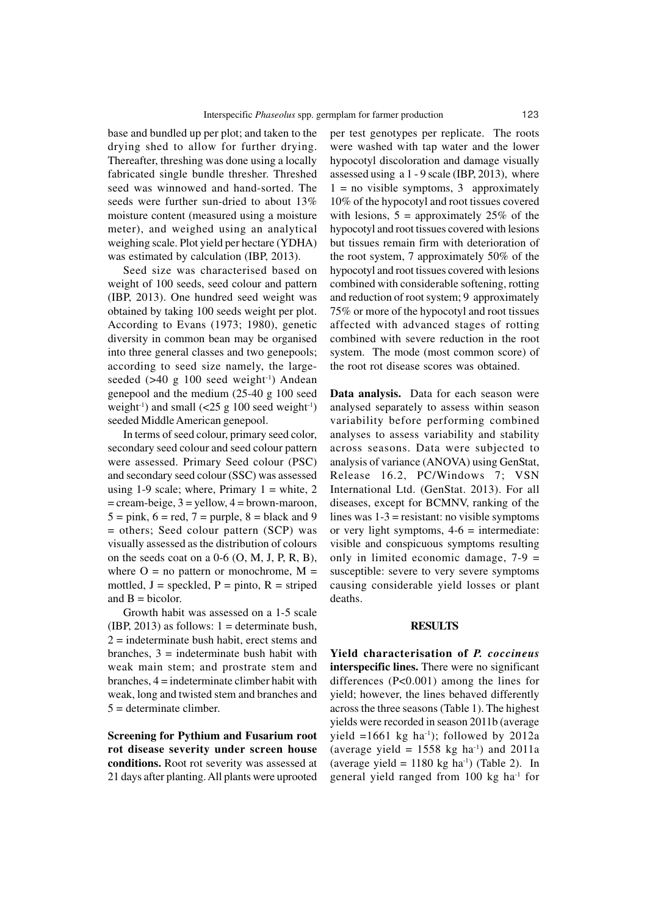base and bundled up per plot; and taken to the drying shed to allow for further drying. Thereafter, threshing was done using a locally fabricated single bundle thresher. Threshed seed was winnowed and hand-sorted. The seeds were further sun-dried to about 13% moisture content (measured using a moisture meter), and weighed using an analytical weighing scale. Plot yield per hectare (YDHA) was estimated by calculation (IBP, 2013).

Seed size was characterised based on weight of 100 seeds, seed colour and pattern (IBP, 2013). One hundred seed weight was obtained by taking 100 seeds weight per plot. According to Evans (1973; 1980), genetic diversity in common bean may be organised into three general classes and two genepools; according to seed size namely, the largeseeded  $(>40 \text{ g } 100 \text{ seed weight}^{-1})$  Andean genepool and the medium (25-40 g 100 seed weight<sup>-1</sup>) and small  $\left(\frac{25 \text{ g } 100 \text{ seed weight}^{-1}}{2}\right)$ seeded Middle American genepool.

In terms of seed colour, primary seed color, secondary seed colour and seed colour pattern were assessed. Primary Seed colour (PSC) and secondary seed colour (SSC) was assessed using 1-9 scale; where, Primary  $1 =$  white, 2  $=$  cream-beige,  $3$  = yellow,  $4$  = brown-maroon,  $5 = pink$ ,  $6 = red$ ,  $7 = purple$ ,  $8 = black$  and 9 = others; Seed colour pattern (SCP) was visually assessed as the distribution of colours on the seeds coat on a  $0-6$  (O, M, J, P, R, B), where  $O =$  no pattern or monochrome,  $M =$ mottled,  $J =$  speckled,  $P =$  pinto,  $R =$  striped and  $B = bicolor.$ 

Growth habit was assessed on a 1-5 scale (IBP, 2013) as follows:  $1 =$  determinate bush.  $2$  = indeterminate bush habit, erect stems and branches,  $3$  = indeterminate bush habit with weak main stem; and prostrate stem and branches, 4 = indeterminate climber habit with weak, long and twisted stem and branches and  $5 =$  determinate climber.

**Screening for Pythium and Fusarium root rot disease severity under screen house conditions.** Root rot severity was assessed at 21 days after planting. All plants were uprooted

per test genotypes per replicate. The roots were washed with tap water and the lower hypocotyl discoloration and damage visually assessed using a 1 - 9 scale (IBP, 2013), where  $1 =$  no visible symptoms, 3 approximately 10% of the hypocotyl and root tissues covered with lesions,  $5 =$  approximately 25% of the hypocotyl and root tissues covered with lesions but tissues remain firm with deterioration of the root system, 7 approximately 50% of the hypocotyl and root tissues covered with lesions combined with considerable softening, rotting and reduction of root system; 9 approximately 75% or more of the hypocotyl and root tissues affected with advanced stages of rotting combined with severe reduction in the root system. The mode (most common score) of the root rot disease scores was obtained.

**Data analysis.** Data for each season were analysed separately to assess within season variability before performing combined analyses to assess variability and stability across seasons. Data were subjected to analysis of variance (ANOVA) using GenStat, Release 16.2, PC/Windows 7; VSN International Ltd. (GenStat. 2013). For all diseases, except for BCMNV, ranking of the lines was  $1-3$  = resistant: no visible symptoms or very light symptoms,  $4-6$  = intermediate: visible and conspicuous symptoms resulting only in limited economic damage, 7-9 = susceptible: severe to very severe symptoms causing considerable yield losses or plant deaths.

#### **RESULTS**

**Yield characterisation of** *P. coccineus* **interspecific lines.** There were no significant differences (P<0.001) among the lines for yield; however, the lines behaved differently across the three seasons (Table 1). The highest yields were recorded in season 2011b (average yield =1661 kg ha<sup>-1</sup>); followed by 2012a (average yield =  $1558$  kg ha<sup>-1</sup>) and 2011a (average yield =  $1180 \text{ kg}$  ha<sup>-1</sup>) (Table 2). In general yield ranged from  $100 \text{ kg}$  ha<sup>-1</sup> for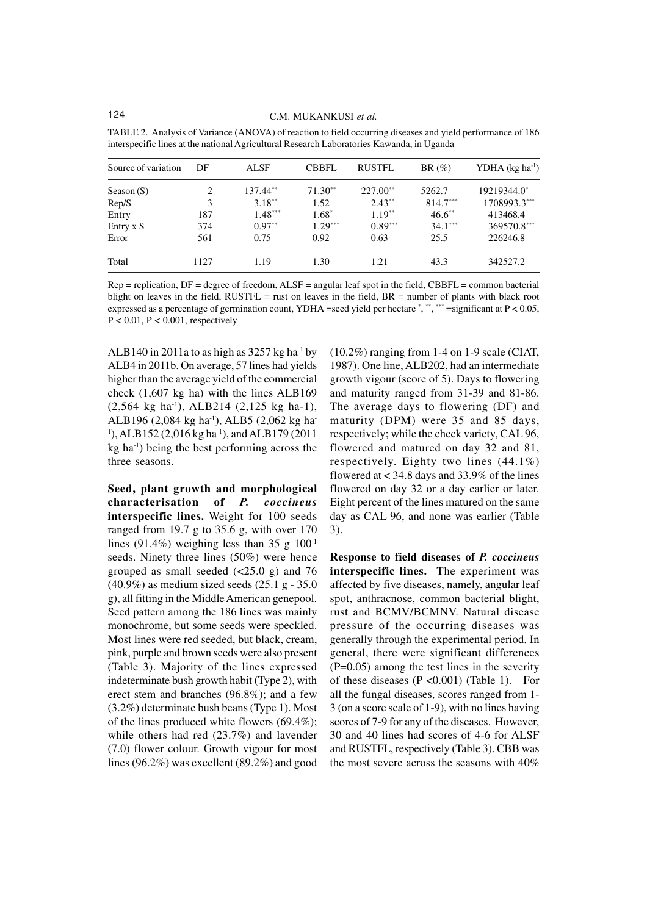| Source of variation | DF   | <b>ALSF</b> | <b>CBBFL</b> | <b>RUSTFL</b> | $BR(\%)$   | YDHA $(kg ha^{-1})$ |
|---------------------|------|-------------|--------------|---------------|------------|---------------------|
| Season $(S)$        | 2    | $137.44**$  | $71.30**$    | $227.00**$    | 5262.7     | 19219344.0*         |
| Rep/S               | 3    | $3.18***$   | 1.52         | $2.43**$      | $814.7***$ | 1708993.3***        |
| Entry               | 187  | $1.48***$   | $1.68*$      | $1.19***$     | $46.6***$  | 413468.4            |
| Entry x S           | 374  | $0.97**$    | $1.29***$    | $0.89***$     | $34.1***$  | 369570.8***         |
| Error               | 561  | 0.75        | 0.92         | 0.63          | 25.5       | 226246.8            |
| Total               | 1127 | 1.19        | 1.30         | 1.21          | 43.3       | 342527.2            |

TABLE 2. Analysis of Variance (ANOVA) of reaction to field occurring diseases and yield performance of 186 interspecific lines at the national Agricultural Research Laboratories Kawanda, in Uganda

 $Rep = replication, DF = degree of freedom, ALSF = angular leaf spot in the field, CBBFL = common bacterial$ blight on leaves in the field,  $RUSTFL$  = rust on leaves in the field,  $BR$  = number of plants with black root expressed as a percentage of germination count, YDHA =seed yield per hectare  $\gamma$ ,  $\gamma$ ,  $\gamma$  =significant at P < 0.05,  $P < 0.01$ ,  $P < 0.001$ , respectively

ALB140 in 2011a to as high as  $3257$  kg ha<sup>-1</sup> by ALB4 in 2011b. On average, 57 lines had yields higher than the average yield of the commercial check (1,607 kg ha) with the lines ALB169 (2,564 kg ha-1), ALB214 (2,125 kg ha-1), ALB196 (2,084 kg ha<sup>-1</sup>), ALB5 (2,062 kg ha-<sup>1</sup>), ALB152 (2,016 kg ha<sup>-1</sup>), and ALB179 (2011 kg ha-1) being the best performing across the three seasons.

**Seed, plant growth and morphological characterisation of** *P. coccineus* **interspecific lines.** Weight for 100 seeds ranged from 19.7 g to 35.6 g, with over 170 lines (91.4%) weighing less than 35 g  $100<sup>-1</sup>$ seeds. Ninety three lines (50%) were hence grouped as small seeded (<25.0 g) and 76 (40.9%) as medium sized seeds (25.1 g - 35.0 g), all fitting in the Middle American genepool. Seed pattern among the 186 lines was mainly monochrome, but some seeds were speckled. Most lines were red seeded, but black, cream, pink, purple and brown seeds were also present (Table 3). Majority of the lines expressed indeterminate bush growth habit (Type 2), with erect stem and branches (96.8%); and a few (3.2%) determinate bush beans (Type 1). Most of the lines produced white flowers (69.4%); while others had red (23.7%) and lavender (7.0) flower colour. Growth vigour for most lines (96.2%) was excellent (89.2%) and good

(10.2%) ranging from 1-4 on 1-9 scale (CIAT, 1987). One line, ALB202, had an intermediate growth vigour (score of 5). Days to flowering and maturity ranged from 31-39 and 81-86. The average days to flowering (DF) and maturity (DPM) were 35 and 85 days, respectively; while the check variety, CAL 96, flowered and matured on day 32 and 81, respectively. Eighty two lines (44.1%) flowered at  $< 34.8$  days and 33.9% of the lines flowered on day 32 or a day earlier or later. Eight percent of the lines matured on the same day as CAL 96, and none was earlier (Table 3).

**Response to field diseases of** *P. coccineus* **interspecific lines.** The experiment was affected by five diseases, namely, angular leaf spot, anthracnose, common bacterial blight, rust and BCMV/BCMNV. Natural disease pressure of the occurring diseases was generally through the experimental period. In general, there were significant differences (P=0.05) among the test lines in the severity of these diseases  $(P \le 0.001)$  (Table 1). For all the fungal diseases, scores ranged from 1- 3 (on a score scale of 1-9), with no lines having scores of 7-9 for any of the diseases. However, 30 and 40 lines had scores of 4-6 for ALSF and RUSTFL, respectively (Table 3). CBB was the most severe across the seasons with 40%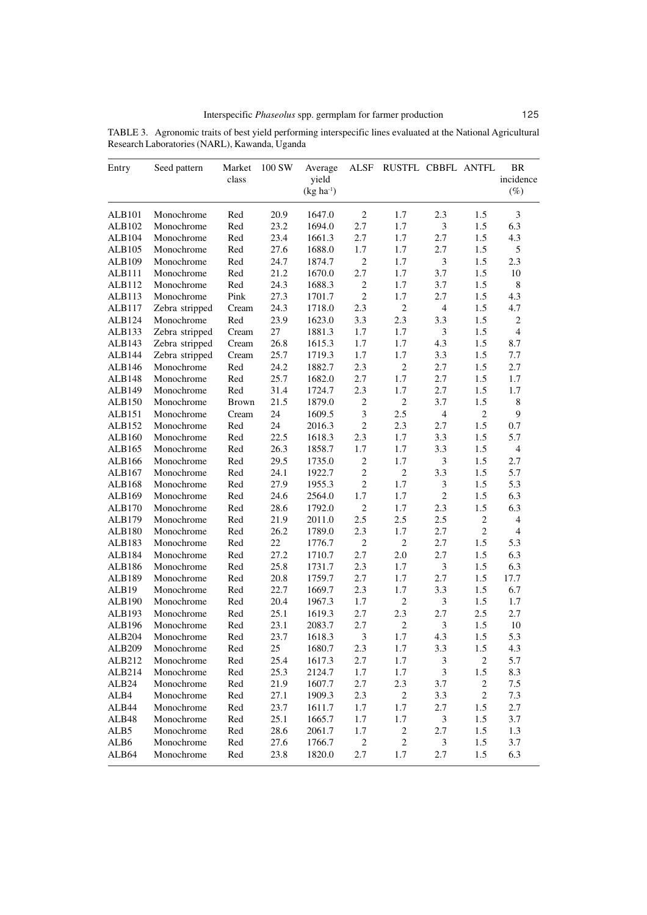| TABLE 3. Agronomic traits of best yield performing interspecific lines evaluated at the National Agricultural |  |  |  |  |
|---------------------------------------------------------------------------------------------------------------|--|--|--|--|
| Research Laboratories (NARL), Kawanda, Uganda                                                                 |  |  |  |  |

| Entry             | Seed pattern   | Market<br>class | 100 SW | Average<br>yield<br>$(kg ha-1)$ | <b>ALSF</b>                 | RUSTFL CBBFL ANTFL |                |                | <b>BR</b><br>incidence<br>$(\%)$ |
|-------------------|----------------|-----------------|--------|---------------------------------|-----------------------------|--------------------|----------------|----------------|----------------------------------|
| <b>ALB101</b>     | Monochrome     | Red             | 20.9   | 1647.0                          | $\overline{c}$              | 1.7                | 2.3            | 1.5            | 3                                |
| ALB102            | Monochrome     | Red             | 23.2   | 1694.0                          | 2.7                         | 1.7                | $\mathfrak{Z}$ | 1.5            | 6.3                              |
| ALB104            | Monochrome     | Red             | 23.4   | 1661.3                          | 2.7                         | 1.7                | 2.7            | 1.5            | 4.3                              |
| ALB105            | Monochrome     | Red             | 27.6   | 1688.0                          | 1.7                         | 1.7                | 2.7            | 1.5            | 5                                |
| ALB109            | Monochrome     | Red             | 24.7   | 1874.7                          | $\overline{c}$              | 1.7                | $\mathfrak{Z}$ | 1.5            | 2.3                              |
| ALB111            | Monochrome     | Red             | 21.2   | 1670.0                          | 2.7                         | 1.7                | 3.7            | 1.5            | 10                               |
| ALB112            | Monochrome     | Red             | 24.3   | 1688.3                          | $\sqrt{2}$                  | 1.7                | 3.7            | 1.5            | 8                                |
| ALB113            | Monochrome     | Pink            | 27.3   | 1701.7                          | $\overline{c}$              | 1.7                | 2.7            | 1.5            | 4.3                              |
| ALB117            | Zebra stripped | Cream           | 24.3   | 1718.0                          | 2.3                         | $\overline{c}$     | $\overline{4}$ | 1.5            | 4.7                              |
| ALB124            | Monochrome     | Red             | 23.9   | 1623.0                          | 3.3                         | 2.3                | 3.3            | 1.5            | $\overline{2}$                   |
| ALB133            | Zebra stripped | Cream           | 27     | 1881.3                          | 1.7                         | 1.7                | $\mathfrak{Z}$ | 1.5            | $\overline{4}$                   |
| ALB143            | Zebra stripped | Cream           | 26.8   | 1615.3                          | 1.7                         | 1.7                | 4.3            | 1.5            | 8.7                              |
| ALB144            | Zebra stripped | Cream           | 25.7   | 1719.3                          | 1.7                         | 1.7                | 3.3            | 1.5            | 7.7                              |
| ALB146            | Monochrome     | Red             | 24.2   | 1882.7                          | 2.3                         | $\sqrt{2}$         | 2.7            | 1.5            | 2.7                              |
| <b>ALB148</b>     | Monochrome     | Red             | 25.7   | 1682.0                          | 2.7                         | 1.7                | 2.7            | 1.5            | 1.7                              |
| ALB149            | Monochrome     | Red             | 31.4   | 1724.7                          | 2.3                         | 1.7                | 2.7            | 1.5            | 1.7                              |
| ALB150            | Monochrome     | <b>Brown</b>    | 21.5   | 1879.0                          | $\mathfrak{2}$              | $\overline{2}$     | 3.7            | 1.5            | $\,8\,$                          |
| ALB151            | Monochrome     | Cream           | 24     | 1609.5                          | $\ensuremath{\mathfrak{Z}}$ | 2.5                | $\overline{4}$ | $\mathfrak{2}$ | 9                                |
| ALB152            | Monochrome     | Red             | 24     | 2016.3                          | $\sqrt{2}$                  | 2.3                | 2.7            | 1.5            | 0.7                              |
| ALB160            | Monochrome     | Red             | 22.5   | 1618.3                          | 2.3                         | 1.7                | 3.3            | 1.5            | 5.7                              |
| ALB165            | Monochrome     | Red             | 26.3   | 1858.7                          | 1.7                         | 1.7                | 3.3            | 1.5            | $\overline{4}$                   |
| ALB166            | Monochrome     | Red             | 29.5   | 1735.0                          | $\mathfrak{2}$              | 1.7                | $\mathfrak{Z}$ | 1.5            | 2.7                              |
| ALB167            | Monochrome     | Red             | 24.1   | 1922.7                          | $\sqrt{2}$                  | $\overline{c}$     | 3.3            | 1.5            | 5.7                              |
| ALB168            | Monochrome     | Red             | 27.9   | 1955.3                          | $\sqrt{2}$                  | 1.7                | $\mathfrak{Z}$ | 1.5            | 5.3                              |
| ALB169            | Monochrome     | Red             | 24.6   | 2564.0                          | 1.7                         | 1.7                | $\overline{2}$ | 1.5            | 6.3                              |
| ALB170            | Monochrome     | Red             | 28.6   | 1792.0                          | $\sqrt{2}$                  | 1.7                | 2.3            | 1.5            | 6.3                              |
| ALB179            | Monochrome     | Red             | 21.9   | 2011.0                          | 2.5                         | 2.5                | 2.5            | $\mathbf{2}$   | $\overline{4}$                   |
| ALB180            | Monochrome     | Red             | 26.2   | 1789.0                          | 2.3                         | 1.7                | 2.7            | $\overline{c}$ | $\overline{4}$                   |
| ALB183            | Monochrome     | Red             | 22     | 1776.7                          | $\sqrt{2}$                  | $\overline{c}$     | 2.7            | 1.5            | 5.3                              |
| ALB184            | Monochrome     | Red             | 27.2   | 1710.7                          | 2.7                         | $2.0\,$            | 2.7            | 1.5            | 6.3                              |
| ALB186            | Monochrome     | Red             | 25.8   | 1731.7                          | 2.3                         | 1.7                | $\mathfrak{Z}$ | 1.5            | 6.3                              |
| ALB189            | Monochrome     | Red             | 20.8   | 1759.7                          | 2.7                         | 1.7                | 2.7            | 1.5            | 17.7                             |
| ALB19             | Monochrome     | Red             | 22.7   | 1669.7                          | 2.3                         | 1.7                | 3.3            | 1.5            | 6.7                              |
| ALB190            | Monochrome     | Red             | 20.4   | 1967.3                          | 1.7                         | $\overline{c}$     | $\mathfrak{Z}$ | 1.5            | 1.7                              |
| ALB193            | Monochrome     | Red             | 25.1   | 1619.3                          | 2.7                         | 2.3                | 2.7            | 2.5            | 2.7                              |
| ALB196            | Monochrome     | Red             | 23.1   | 2083.7                          | 2.7                         | $\boldsymbol{2}$   | $\mathfrak{Z}$ | 1.5            | 10                               |
| <b>ALB204</b>     | Monochrome     | Red             | 23.7   | 1618.3                          | $\ensuremath{\mathfrak{Z}}$ | 1.7                | 4.3            | 1.5            | 5.3                              |
| ALB209            | Monochrome     | Red             | 25     | 1680.7                          | 2.3                         | 1.7                | 3.3            | 1.5            | 4.3                              |
| ALB212            | Monochrome     | Red             | 25.4   | 1617.3                          | 2.7                         | 1.7                | $\mathfrak{Z}$ | $\overline{c}$ | 5.7                              |
| ALB214            | Monochrome     | Red             | 25.3   | 2124.7                          | 1.7                         | 1.7                | $\mathfrak{Z}$ | 1.5            | 8.3                              |
| ALB <sub>24</sub> | Monochrome     | Red             | 21.9   | 1607.7                          | 2.7                         | 2.3                | 3.7            | $\sqrt{2}$     | 7.5                              |
| ALB4              | Monochrome     | Red             | 27.1   | 1909.3                          | 2.3                         | $\sqrt{2}$         | 3.3            | $\overline{c}$ | 7.3                              |
| ALB44             | Monochrome     | Red             | 23.7   | 1611.7                          | 1.7                         | 1.7                | 2.7            | 1.5            | 2.7                              |
| ALB48             | Monochrome     | Red             | 25.1   | 1665.7                          | 1.7                         | 1.7                | $\mathfrak 3$  | 1.5            | 3.7                              |
| ALB5              | Monochrome     | Red             | 28.6   | 2061.7                          | 1.7                         | $\boldsymbol{2}$   | 2.7            | 1.5            | 1.3                              |
| ALB6              | Monochrome     | Red             | 27.6   | 1766.7                          | $\sqrt{2}$                  | $\sqrt{2}$         | $\mathfrak 3$  | 1.5            | 3.7                              |
| ALB64             | Monochrome     | Red             | 23.8   | 1820.0                          | 2.7                         | 1.7                | 2.7            | 1.5            | 6.3                              |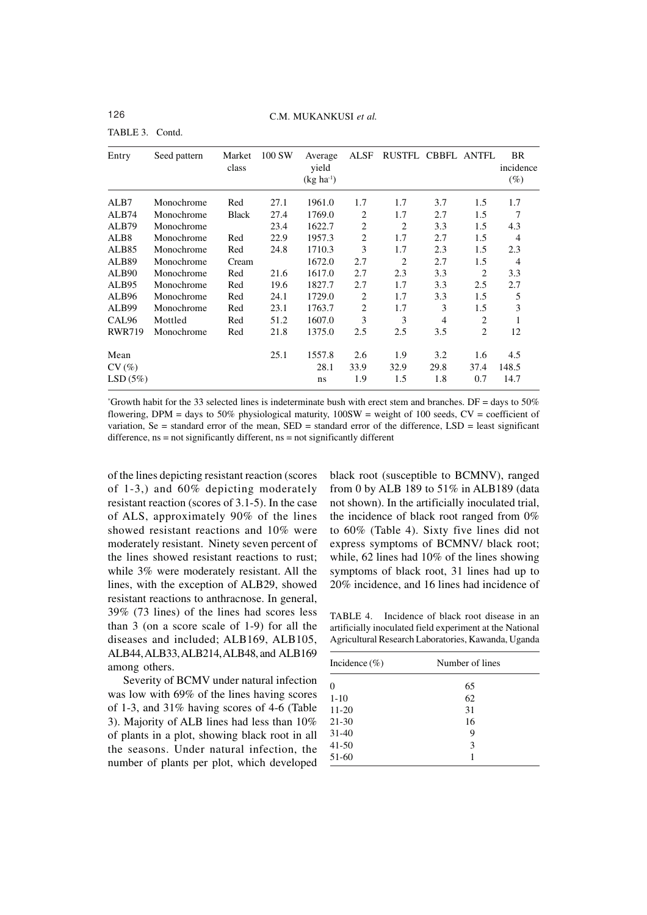TABLE 3. Contd.

| Entry                    | Seed pattern | Market<br>class | 100 SW | Average<br>yield<br>$(kg ha-1)$ | <b>ALSF</b>        | RUSTFL CBBFL ANTFL |                    |                    | BR<br>incidence<br>$(\%)$ |
|--------------------------|--------------|-----------------|--------|---------------------------------|--------------------|--------------------|--------------------|--------------------|---------------------------|
| ALB7                     | Monochrome   | Red             | 27.1   | 1961.0                          | 1.7                | 1.7                | 3.7                | 1.5                | 1.7                       |
| ALB74                    | Monochrome   | <b>Black</b>    | 27.4   | 1769.0                          | 2                  | 1.7                | 2.7                | 1.5                | 7                         |
| ALB <sub>79</sub>        | Monochrome   |                 | 23.4   | 1622.7                          | 2                  | $\overline{2}$     | 3.3                | 1.5                | 4.3                       |
| ALB <sub>8</sub>         | Monochrome   | Red             | 22.9   | 1957.3                          | $\overline{2}$     | 1.7                | 2.7                | 1.5                | $\overline{4}$            |
| ALB <sub>85</sub>        | Monochrome   | Red             | 24.8   | 1710.3                          | 3                  | 1.7                | 2.3                | 1.5                | 2.3                       |
| ALB <sub>89</sub>        | Monochrome   | Cream           |        | 1672.0                          | 2.7                | $\overline{2}$     | 2.7                | 1.5                | $\overline{4}$            |
| ALB <sub>90</sub>        | Monochrome   | Red             | 21.6   | 1617.0                          | 2.7                | 2.3                | 3.3                | 2                  | 3.3                       |
| ALB <sub>95</sub>        | Monochrome   | Red             | 19.6   | 1827.7                          | 2.7                | 1.7                | 3.3                | 2.5                | 2.7                       |
| ALB <sub>96</sub>        | Monochrome   | Red             | 24.1   | 1729.0                          | $\overline{c}$     | 1.7                | 3.3                | 1.5                | 5                         |
| ALB99                    | Monochrome   | Red             | 23.1   | 1763.7                          | 2                  | 1.7                | 3                  | 1.5                | 3                         |
| CAL <sub>96</sub>        | Mottled      | Red             | 51.2   | 1607.0                          | 3                  | 3                  | 4                  | 2                  | 1                         |
| <b>RWR719</b>            | Monochrome   | Red             | 21.8   | 1375.0                          | 2.5                | 2.5                | 3.5                | 2                  | 12                        |
| Mean<br>CV(%)<br>LSD(5%) |              |                 | 25.1   | 1557.8<br>28.1                  | 2.6<br>33.9<br>1.9 | 1.9<br>32.9<br>1.5 | 3.2<br>29.8<br>1.8 | 1.6<br>37.4<br>0.7 | 4.5<br>148.5<br>14.7      |
|                          |              |                 |        | ns                              |                    |                    |                    |                    |                           |

 $*G$ rowth habit for the 33 selected lines is indeterminate bush with erect stem and branches. DF = days to 50% flowering, DPM = days to 50% physiological maturity,  $100SW = weight$  of 100 seeds,  $CV = coefficient$  of variation, Se = standard error of the mean, SED = standard error of the difference, LSD = least significant difference, ns = not significantly different, ns = not significantly different

of the lines depicting resistant reaction (scores of 1-3,) and 60% depicting moderately resistant reaction (scores of 3.1-5). In the case of ALS, approximately 90% of the lines showed resistant reactions and 10% were moderately resistant. Ninety seven percent of the lines showed resistant reactions to rust; while 3% were moderately resistant. All the lines, with the exception of ALB29, showed resistant reactions to anthracnose. In general, 39% (73 lines) of the lines had scores less than 3 (on a score scale of 1-9) for all the diseases and included; ALB169, ALB105, ALB44, ALB33, ALB214, ALB48, and ALB169 among others.

Severity of BCMV under natural infection was low with 69% of the lines having scores of 1-3, and 31% having scores of 4-6 (Table 3). Majority of ALB lines had less than 10% of plants in a plot, showing black root in all the seasons. Under natural infection, the number of plants per plot, which developed

black root (susceptible to BCMNV), ranged from 0 by ALB 189 to 51% in ALB189 (data not shown). In the artificially inoculated trial, the incidence of black root ranged from 0% to 60% (Table 4). Sixty five lines did not express symptoms of BCMNV/ black root; while, 62 lines had 10% of the lines showing symptoms of black root, 31 lines had up to 20% incidence, and 16 lines had incidence of

TABLE 4. Incidence of black root disease in an artificially inoculated field experiment at the National Agricultural Research Laboratories, Kawanda, Uganda

| Incidence $(\% )$ | Number of lines |  |
|-------------------|-----------------|--|
|                   | 65              |  |
| $1 - 10$          | 62              |  |
| $11-20$           | 31              |  |
| 21-30             | 16              |  |
| $31-40$           | 9               |  |
| $41 - 50$         | 3               |  |
| 51-60             |                 |  |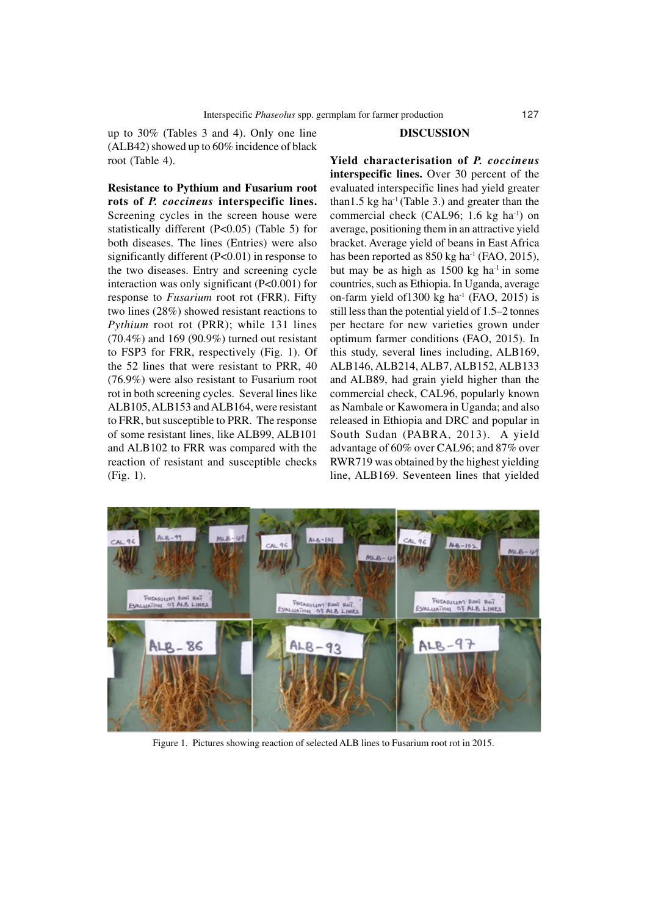up to 30% (Tables 3 and 4). Only one line (ALB42) showed up to 60% incidence of black root (Table 4).

**Resistance to Pythium and Fusarium root rots of** *P. coccineus* **interspecific lines.** Screening cycles in the screen house were statistically different (P<0.05) (Table 5) for both diseases. The lines (Entries) were also significantly different (P<0.01) in response to the two diseases. Entry and screening cycle interaction was only significant (P<0.001) for response to *Fusarium* root rot (FRR). Fifty two lines (28%) showed resistant reactions to *Pythium* root rot (PRR); while 131 lines (70.4%) and 169 (90.9%) turned out resistant to FSP3 for FRR, respectively (Fig. 1). Of the 52 lines that were resistant to PRR, 40 (76.9%) were also resistant to Fusarium root rot in both screening cycles. Several lines like ALB105, ALB153 and ALB164, were resistant to FRR, but susceptible to PRR. The response of some resistant lines, like ALB99, ALB101 and ALB102 to FRR was compared with the reaction of resistant and susceptible checks (Fig. 1).

### **DISCUSSION**

**Yield characterisation of** *P. coccineus* **interspecific lines.** Over 30 percent of the evaluated interspecific lines had yield greater than1.5 kg ha<sup>-1</sup> (Table 3.) and greater than the commercial check (CAL96; 1.6 kg ha $^{-1}$ ) on average, positioning them in an attractive yield bracket. Average yield of beans in East Africa has been reported as  $850 \text{ kg}$  ha<sup>-1</sup> (FAO, 2015), but may be as high as  $1500 \text{ kg}$  ha<sup>-1</sup> in some countries, such as Ethiopia. In Uganda, average on-farm yield of 1300 kg ha $^{-1}$  (FAO, 2015) is still less than the potential yield of 1.5–2 tonnes per hectare for new varieties grown under optimum farmer conditions (FAO, 2015). In this study, several lines including, ALB169, ALB146, ALB214, ALB7, ALB152, ALB133 and ALB89, had grain yield higher than the commercial check, CAL96, popularly known as Nambale or Kawomera in Uganda; and also released in Ethiopia and DRC and popular in South Sudan (PABRA, 2013). A yield advantage of 60% over CAL96; and 87% over RWR719 was obtained by the highest yielding line, ALB169. Seventeen lines that yielded



Figure 1. Pictures showing reaction of selected ALB lines to Fusarium root rot in 2015.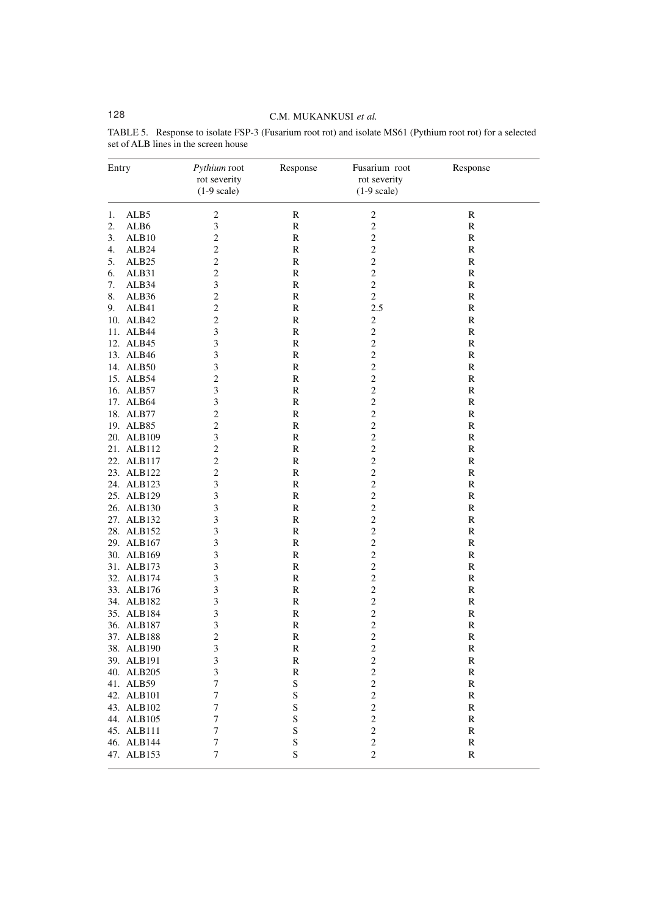# 128 C.M. MUKANKUSI *et al.*

| Entry |                   | Pythium root<br>rot severity<br>$(1-9 scale)$ | Response      | Fusarium root<br>rot severity<br>$(1-9 scale)$ | Response      |  |
|-------|-------------------|-----------------------------------------------|---------------|------------------------------------------------|---------------|--|
| 1.    | ALB <sub>5</sub>  | $\overline{c}$                                | $\mathbb{R}$  | $\boldsymbol{2}$                               | $\mathbb{R}$  |  |
| 2.    | ALB6              | 3                                             | ${\bf R}$     | $\overline{c}$                                 | R             |  |
| 3.    | ALB10             | $\overline{c}$                                | R             | $\overline{c}$                                 | $\mathbb R$   |  |
| 4.    | ALB24             | $\mathbf{2}$                                  | R             | $\overline{c}$                                 | ${\bf R}$     |  |
| 5.    | ALB <sub>25</sub> | $\mathbf{2}$                                  | ${\bf R}$     | $\sqrt{2}$                                     | ${\mathbb R}$ |  |
| 6.    | ALB31             | $\overline{c}$                                | $\mathbb{R}$  | $\overline{c}$                                 | $\mathbb{R}$  |  |
| 7.    | ALB34             | 3                                             | ${\mathsf R}$ | $\overline{c}$                                 | ${\bf R}$     |  |
| 8.    | ALB36             | 2                                             | R             | $\overline{c}$                                 | $\mathbb R$   |  |
| 9.    | ALB41             | $\overline{c}$                                | ${\mathbb R}$ | 2.5                                            | ${\bf R}$     |  |
|       | 10. ALB42         | $\mathbf{2}$                                  | ${\bf R}$     | 2                                              | ${\mathbb R}$ |  |
|       | 11. ALB44         | 3                                             | $\mathbb{R}$  | $\overline{c}$                                 | $\mathbb{R}$  |  |
|       | 12. ALB45         | 3                                             | R             | $\sqrt{2}$                                     | ${\mathbb R}$ |  |
|       | 13. ALB46         | 3                                             | R             | $\overline{\mathbf{c}}$                        | $\mathbb R$   |  |
|       | 14. ALB50         | 3                                             | R             | $\overline{c}$                                 | ${\bf R}$     |  |
|       | 15. ALB54         | $\mathbf{2}$                                  | ${\bf R}$     | $\sqrt{2}$                                     | ${\mathbb R}$ |  |
|       | 16. ALB57         | 3                                             | $\mathbb{R}$  | $\overline{c}$                                 | $\mathbb{R}$  |  |
|       | 17. ALB64         | 3                                             | ${\mathsf R}$ | $\sqrt{2}$                                     | ${\mathbb R}$ |  |
|       | 18. ALB77         | 2                                             | R             | $\overline{\mathbf{c}}$                        | $\mathbb R$   |  |
|       | 19. ALB85         | $\overline{c}$                                | ${\mathbb R}$ | $\overline{c}$                                 | ${\bf R}$     |  |
|       | 20. ALB109        | 3                                             | ${\bf R}$     | $\sqrt{2}$                                     | ${\mathbb R}$ |  |
|       | 21. ALB112        | $\overline{c}$                                | $\mathbb{R}$  | $\overline{c}$                                 | $\mathbb{R}$  |  |
|       | 22. ALB117        | $\overline{c}$                                | R             | $\sqrt{2}$                                     | ${\mathbb R}$ |  |
|       | 23. ALB122        | $\mathfrak{2}$                                | R             | $\overline{\mathbf{c}}$                        | $\mathbb R$   |  |
|       | 24. ALB123        | 3                                             | R             | $\overline{c}$                                 | ${\bf R}$     |  |
|       | 25. ALB129        | 3                                             | ${\bf R}$     | $\overline{c}$                                 | ${\mathbb R}$ |  |
|       | 26. ALB130        | 3                                             | $\mathbb{R}$  | $\overline{c}$                                 | $\mathbb{R}$  |  |
|       | 27. ALB132        | 3                                             | ${\mathsf R}$ | $\sqrt{2}$                                     | ${\mathbb R}$ |  |
|       | 28. ALB152        | 3                                             | R             | $\overline{\mathbf{c}}$                        | $\mathbb R$   |  |
|       | 29. ALB167        | 3                                             | ${\mathbb R}$ | $\overline{c}$                                 | ${\bf R}$     |  |
|       | 30. ALB169        | 3                                             | ${\bf R}$     | $\sqrt{2}$                                     | ${\mathbb R}$ |  |
|       | 31. ALB173        | 3                                             | $\mathbb{R}$  | $\overline{c}$                                 | $\mathbb{R}$  |  |
|       | 32. ALB174        | 3                                             | R             | $\overline{c}$                                 | ${\mathbb R}$ |  |
|       | 33. ALB176        | 3                                             | R             | $\overline{c}$                                 | R             |  |
|       | 34. ALB182        | 3                                             | R             | $\overline{c}$                                 | $\mathbf R$   |  |
|       | 35. ALB184        | 3                                             | ${\bf R}$     | $\overline{c}$                                 | ${\mathbb R}$ |  |
|       | 36. ALB187        | 3                                             | ${\mathsf R}$ | $\overline{\mathbf{c}}$                        | ${\bf R}$     |  |
|       | 37. ALB188        | $\mathbf{2}$                                  | ${\mathbb R}$ | $\overline{c}$                                 | $\mathbb{R}$  |  |
|       | 38. ALB190        | 3                                             | R             | $\overline{c}$                                 | $\mathbb{R}$  |  |
|       | 39. ALB191        | 3                                             | ${\bf R}$     | $\overline{\mathbf{c}}$                        | $\mathbb R$   |  |
|       | 40. ALB205        | 3                                             | R             | $\overline{c}$                                 | ${\bf R}$     |  |
|       | 41. ALB59         | 7                                             | S             | $\overline{\mathbf{c}}$                        | ${\bf R}$     |  |
|       | 42. ALB101        | 7                                             | S             | $\overline{\mathbf{c}}$                        | ${\bf R}$     |  |
|       | 43. ALB102        | 7                                             | S             | $\overline{\mathbf{c}}$                        | ${\bf R}$     |  |
|       | 44. ALB105        | 7                                             | $\mathbf S$   | $\overline{\mathbf{c}}$                        | $\mathbb R$   |  |
|       | 45. ALB111        | 7                                             | S             | $\overline{c}$                                 | ${\bf R}$     |  |
|       | 46. ALB144        | $\boldsymbol{7}$                              | S             | $\overline{\mathbf{c}}$                        | $\mathbb R$   |  |
|       | 47. ALB153        | $\boldsymbol{7}$                              | $\mathbf S$   | $\overline{c}$                                 | $\mathbf R$   |  |

TABLE 5. Response to isolate FSP-3 (Fusarium root rot) and isolate MS61 (Pythium root rot) for a selected set of ALB lines in the screen house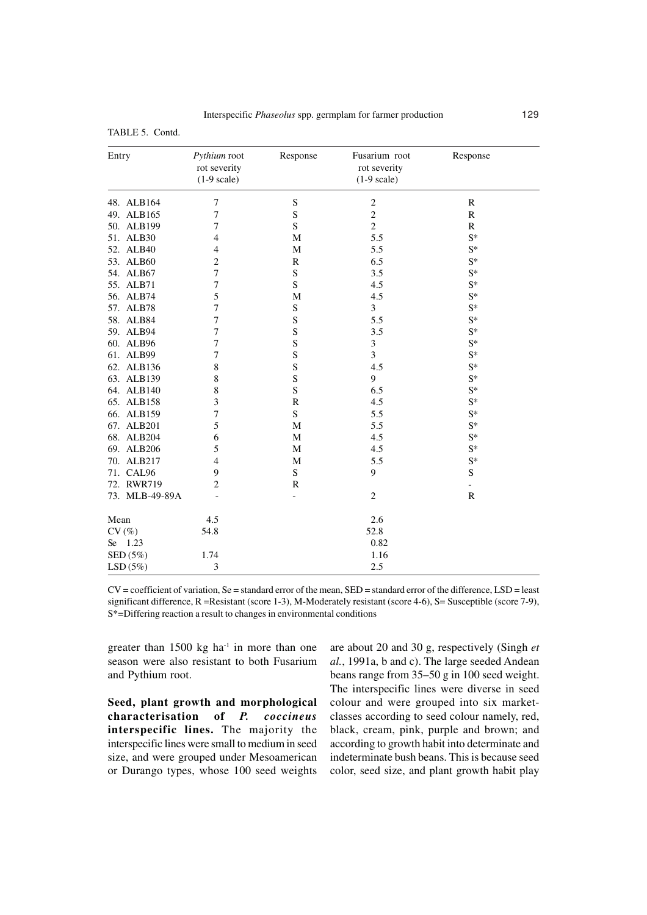| TABLE 5. Contd. |  |
|-----------------|--|
|-----------------|--|

| Entry                          | Pythium root<br>rot severity<br>$(1-9 scale)$ | Response    | Fusarium root<br>rot severity<br>$(1-9 scale)$ | Response                 |
|--------------------------------|-----------------------------------------------|-------------|------------------------------------------------|--------------------------|
| 48. ALB164                     | 7                                             | ${\bf S}$   | $\sqrt{2}$                                     | $\mathbb{R}$             |
| 49. ALB165                     | 7                                             | S           | $\overline{c}$                                 | $\mathbb{R}$             |
| 50. ALB199                     | 7                                             | $\mathbf S$ | $\overline{c}$                                 | $\mathbb{R}$             |
| 51. ALB30                      | 4                                             | М           | 5.5                                            | $S^*$                    |
| 52. ALB40                      | 4                                             | M           | 5.5                                            | $S^*$                    |
| 53. ALB60                      | $\mathbf{2}$                                  | R           | 6.5                                            | $S^*$                    |
| 54. ALB67                      | 7                                             | $\mathbf S$ | 3.5                                            | $S^*$                    |
| 55. ALB71                      | 7                                             | $\mathbf S$ | 4.5                                            | $S^*$                    |
| 56. ALB74                      | 5                                             | M           | 4.5                                            | $S^*$                    |
| 57. ALB78                      | $\overline{7}$                                | $\mathbf S$ | 3                                              | $S^*$                    |
| 58. ALB84                      | 7                                             | S           | 5.5                                            | $S^*$                    |
| 59. ALB94                      | 7                                             | S           | 3.5                                            | $S^*$                    |
| 60. ALB96                      | $\overline{7}$                                | S           | $\mathfrak{Z}$                                 | $S^*$                    |
| 61. ALB99                      | 7                                             | S           | 3                                              | $S^*$                    |
| 62. ALB136                     | 8                                             | S           | 4.5                                            | $S^*$                    |
| 63. ALB139                     | 8                                             | S           | 9                                              | $S^*$                    |
| 64. ALB140                     | 8                                             | S           | 6.5                                            | $S^*$                    |
| 65. ALB158                     | 3                                             | R           | 4.5                                            | $S^*$                    |
| 66. ALB159                     | 7                                             | S           | 5.5                                            | $S^*$                    |
| 67. ALB201                     | 5                                             | M           | 5.5                                            | $S^*$                    |
| 68. ALB204                     | 6                                             | М           | 4.5                                            | $S^*$                    |
| 69. ALB206                     | 5                                             | M           | 4.5                                            | $S^*$                    |
| 70. ALB217                     | $\overline{4}$                                | M           | 5.5                                            | $S^*$                    |
| 71. CAL96                      | 9                                             | $\rm S$     | 9                                              | ${\bf S}$                |
| 72. RWR719                     | $\overline{2}$                                | R           |                                                | $\overline{\phantom{a}}$ |
| 73. MLB-49-89A                 |                                               |             | $\overline{c}$                                 | $\mathbb{R}$             |
| Mean                           | 4.5                                           |             | 2.6                                            |                          |
| CV(%)                          | 54.8                                          |             | 52.8                                           |                          |
| 1.23<br>Se                     |                                               |             | 0.82                                           |                          |
| $\mathrm{SED}\left(5\%\right)$ | 1.74                                          |             | 1.16                                           |                          |
| LSD(5%)                        | 3                                             |             | 2.5                                            |                          |

 $CV = coefficient$  of variation,  $Se = standard$  error of the mean,  $SED = standard$  error of the difference,  $LSD = least$ significant difference, R =Resistant (score 1-3), M-Moderately resistant (score 4-6), S= Susceptible (score 7-9), S\*=Differing reaction a result to changes in environmental conditions

greater than  $1500 \text{ kg}$  ha<sup>-1</sup> in more than one season were also resistant to both Fusarium and Pythium root.

**Seed, plant growth and morphological characterisation of** *P. coccineus* **interspecific lines.** The majority the interspecific lines were small to medium in seed size, and were grouped under Mesoamerican or Durango types, whose 100 seed weights are about 20 and 30 g, respectively (Singh *et al.*, 1991a, b and c). The large seeded Andean beans range from 35–50 g in 100 seed weight. The interspecific lines were diverse in seed colour and were grouped into six marketclasses according to seed colour namely, red, black, cream, pink, purple and brown; and according to growth habit into determinate and indeterminate bush beans. This is because seed color, seed size, and plant growth habit play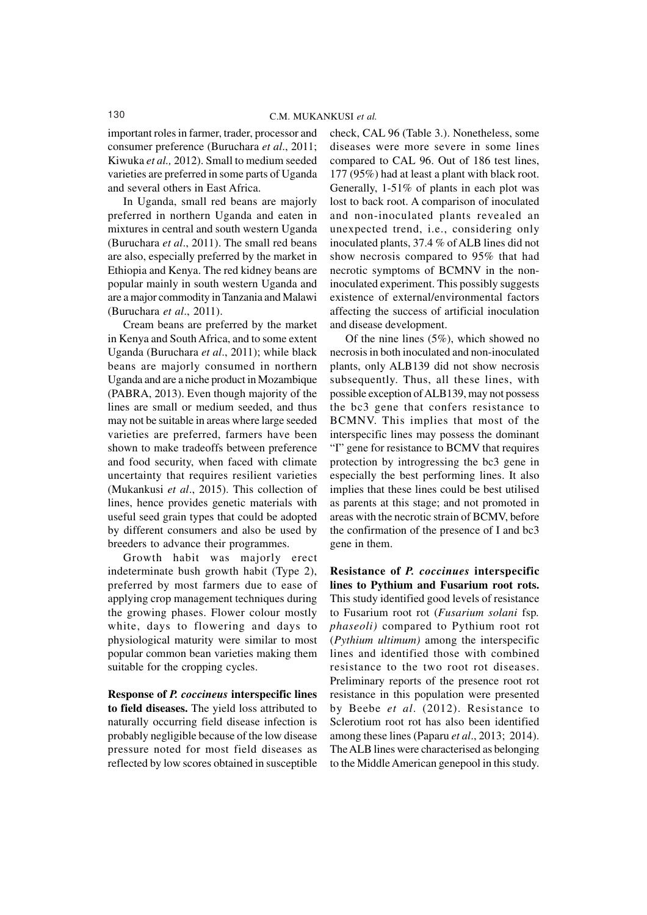important roles in farmer, trader, processor and consumer preference (Buruchara *et al*., 2011; Kiwuka *et al.,* 2012). Small to medium seeded varieties are preferred in some parts of Uganda and several others in East Africa.

In Uganda, small red beans are majorly preferred in northern Uganda and eaten in mixtures in central and south western Uganda (Buruchara *et al*., 2011). The small red beans are also, especially preferred by the market in Ethiopia and Kenya. The red kidney beans are popular mainly in south western Uganda and are a major commodity in Tanzania and Malawi (Buruchara *et al*., 2011).

Cream beans are preferred by the market in Kenya and South Africa, and to some extent Uganda (Buruchara *et al*., 2011); while black beans are majorly consumed in northern Uganda and are a niche product in Mozambique (PABRA, 2013). Even though majority of the lines are small or medium seeded, and thus may not be suitable in areas where large seeded varieties are preferred, farmers have been shown to make tradeoffs between preference and food security, when faced with climate uncertainty that requires resilient varieties (Mukankusi *et al*., 2015). This collection of lines, hence provides genetic materials with useful seed grain types that could be adopted by different consumers and also be used by breeders to advance their programmes.

Growth habit was majorly erect indeterminate bush growth habit (Type 2), preferred by most farmers due to ease of applying crop management techniques during the growing phases. Flower colour mostly white, days to flowering and days to physiological maturity were similar to most popular common bean varieties making them suitable for the cropping cycles.

**Response of** *P. coccineus* **interspecific lines to field diseases.** The yield loss attributed to naturally occurring field disease infection is probably negligible because of the low disease pressure noted for most field diseases as reflected by low scores obtained in susceptible

check, CAL 96 (Table 3.). Nonetheless, some diseases were more severe in some lines compared to CAL 96. Out of 186 test lines, 177 (95%) had at least a plant with black root. Generally, 1-51% of plants in each plot was lost to back root. A comparison of inoculated and non-inoculated plants revealed an unexpected trend, i.e., considering only inoculated plants, 37.4 % of ALB lines did not show necrosis compared to 95% that had necrotic symptoms of BCMNV in the noninoculated experiment. This possibly suggests existence of external/environmental factors affecting the success of artificial inoculation and disease development.

Of the nine lines (5%), which showed no necrosis in both inoculated and non-inoculated plants, only ALB139 did not show necrosis subsequently. Thus, all these lines, with possible exception of ALB139, may not possess the bc3 gene that confers resistance to BCMNV. This implies that most of the interspecific lines may possess the dominant "I" gene for resistance to BCMV that requires protection by introgressing the bc3 gene in especially the best performing lines. It also implies that these lines could be best utilised as parents at this stage; and not promoted in areas with the necrotic strain of BCMV, before the confirmation of the presence of I and bc3 gene in them.

**Resistance of** *P. coccinues* **interspecific lines to Pythium and Fusarium root rots.** This study identified good levels of resistance to Fusarium root rot (*Fusarium solani* fsp*. phaseoli)* compared to Pythium root rot (*Pythium ultimum)* among the interspecific lines and identified those with combined resistance to the two root rot diseases. Preliminary reports of the presence root rot resistance in this population were presented by Beebe *et al*. (2012). Resistance to Sclerotium root rot has also been identified among these lines (Paparu *et al*., 2013; 2014). The ALB lines were characterised as belonging to the Middle American genepool in this study.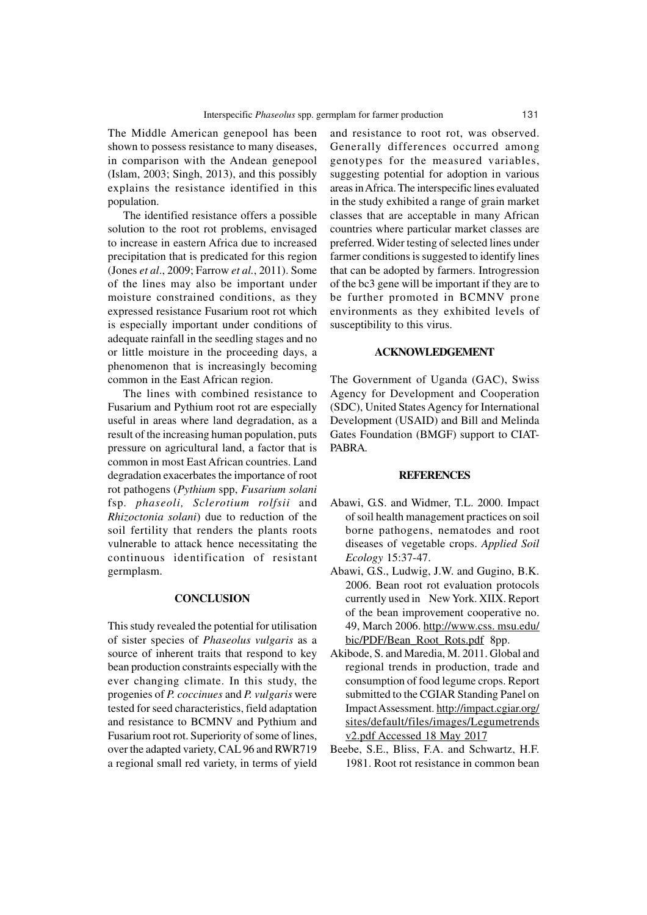The Middle American genepool has been shown to possess resistance to many diseases, in comparison with the Andean genepool (Islam, 2003; Singh, 2013), and this possibly explains the resistance identified in this population.

The identified resistance offers a possible solution to the root rot problems, envisaged to increase in eastern Africa due to increased precipitation that is predicated for this region (Jones *et al*., 2009; Farrow *et al.*, 2011). Some of the lines may also be important under moisture constrained conditions, as they expressed resistance Fusarium root rot which is especially important under conditions of adequate rainfall in the seedling stages and no or little moisture in the proceeding days, a phenomenon that is increasingly becoming common in the East African region.

The lines with combined resistance to Fusarium and Pythium root rot are especially useful in areas where land degradation, as a result of the increasing human population, puts pressure on agricultural land, a factor that is common in most East African countries. Land degradation exacerbates the importance of root rot pathogens (*Pythium* spp, *Fusarium solani* fsp*. phaseoli, Sclerotium rolfsii* and *Rhizoctonia solani*) due to reduction of the soil fertility that renders the plants roots vulnerable to attack hence necessitating the continuous identification of resistant germplasm.

#### **CONCLUSION**

This study revealed the potential for utilisation of sister species of *Phaseolus vulgaris* as a source of inherent traits that respond to key bean production constraints especially with the ever changing climate. In this study, the progenies of *P. coccinues* and *P. vulgaris* were tested for seed characteristics, field adaptation and resistance to BCMNV and Pythium and Fusarium root rot. Superiority of some of lines, over the adapted variety, CAL 96 and RWR719 a regional small red variety, in terms of yield and resistance to root rot, was observed. Generally differences occurred among genotypes for the measured variables, suggesting potential for adoption in various areas in Africa. The interspecific lines evaluated in the study exhibited a range of grain market classes that are acceptable in many African countries where particular market classes are preferred. Wider testing of selected lines under farmer conditions is suggested to identify lines that can be adopted by farmers. Introgression of the bc3 gene will be important if they are to be further promoted in BCMNV prone environments as they exhibited levels of susceptibility to this virus.

### **ACKNOWLEDGEMENT**

The Government of Uganda (GAC), Swiss Agency for Development and Cooperation (SDC), United States Agency for International Development (USAID) and Bill and Melinda Gates Foundation (BMGF) support to CIAT-PABRA.

#### **REFERENCES**

- Abawi, G.S. and Widmer, T.L. 2000. Impact of soil health management practices on soil borne pathogens, nematodes and root diseases of vegetable crops. *Applied Soil Ecology* 15:37-47.
- Abawi, G.S., Ludwig, J.W. and Gugino, B.K. 2006. Bean root rot evaluation protocols currently used in New York. XIIX. Report of the bean improvement cooperative no. 49, March 2006. http://www.css. msu.edu/ bic/PDF/Bean\_Root\_Rots.pdf 8pp.
- Akibode, S. and Maredia, M. 2011. Global and regional trends in production, trade and consumption of food legume crops. Report submitted to the CGIAR Standing Panel on Impact Assessment. http://impact.cgiar.org/ sites/default/files/images/Legumetrends v2.pdf Accessed 18 May 2017
- Beebe, S.E., Bliss, F.A. and Schwartz, H.F. 1981. Root rot resistance in common bean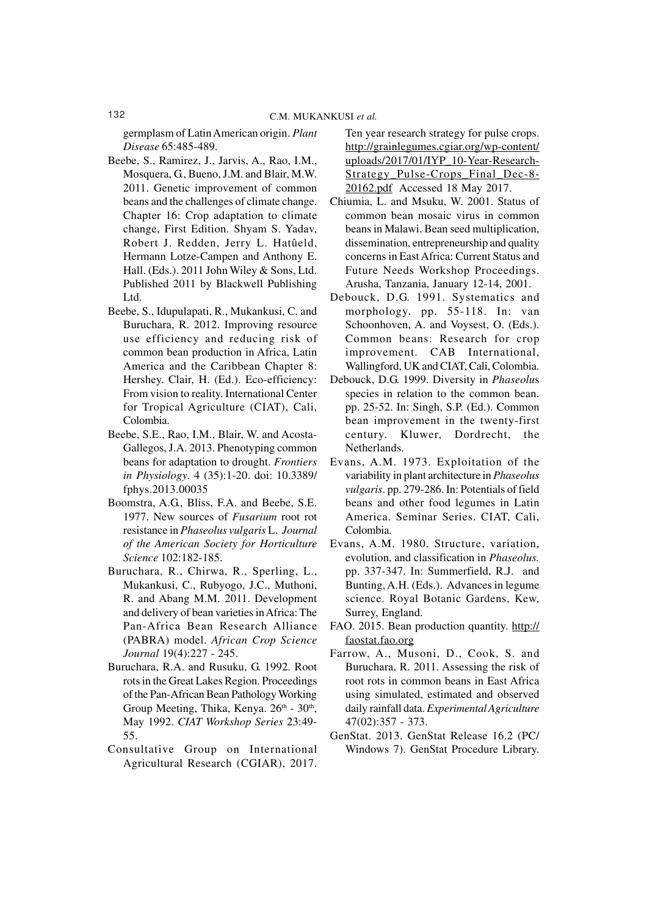germplasm of Latin American origin. *Plant Disease* 65:485-489.

- Beebe, S., Ramirez, J., Jarvis, A., Rao, I.M., Mosquera, G., Bueno, J.M. and Blair, M.W. 2011. Genetic improvement of common beans and the challenges of climate change. Chapter 16: Crop adaptation to climate change, First Edition. Shyam S. Yadav, Robert J. Redden, Jerry L. Hatûeld, Hermann Lotze-Campen and Anthony E. Hall. (Eds.). 2011 John Wiley & Sons, Ltd. Published 2011 by Blackwell Publishing Ltd.
- Beebe, S., Idupulapati, R., Mukankusi, C. and Buruchara, R. 2012. Improving resource use efficiency and reducing risk of common bean production in Africa, Latin America and the Caribbean Chapter 8: Hershey. Clair, H. (Ed.). Eco-efficiency: From vision to reality. International Center for Tropical Agriculture (CIAT), Cali, Colombia.
- Beebe, S.E., Rao, I.M., Blair, W. and Acosta-Gallegos, J.A. 2013. Phenotyping common beans for adaptation to drought. *Frontiers in Physiology*. 4 (35):1-20. doi: 10.3389/ fphys.2013.00035
- Boomstra, A.G., Bliss, F.A. and Beebe, S.E. 1977. New sources of *Fusarium* root rot resistance in *Phaseolus vulgaris* L. *Journal of the American Society for Horticulture Science* 102:182-185.
- Buruchara, R., Chirwa, R., Sperling, L., Mukankusi, C., Rubyogo, J.C., Muthoni, R. and Abang M.M. 2011. Development and delivery of bean varieties in Africa: The Pan-Africa Bean Research Alliance (PABRA) model. *African Crop Science Journal* 19(4):227 - 245.
- Buruchara, R.A. and Rusuku, G. 1992. Root rots in the Great Lakes Region. Proceedings of the Pan-African Bean Pathology Working Group Meeting, Thika, Kenya. 26<sup>th</sup> - 30<sup>th</sup>, May 1992. *CIAT Workshop Series* 23:49- 55.
- Consultative Group on International Agricultural Research (CGIAR), 2017.

Ten year research strategy for pulse crops. http://grainlegumes.cgiar.org/wp-content/ uploads/2017/01/IYP\_10-Year-Research-Strategy\_Pulse-Crops\_Final\_Dec-8- 20162.pdf Accessed 18 May 2017.

- Chiumia, L. and Msuku, W. 2001. Status of common bean mosaic virus in common beans in Malawi. Bean seed multiplication, dissemination, entrepreneurship and quality concerns in East Africa: Current Status and Future Needs Workshop Proceedings. Arusha, Tanzania, January 12-14, 2001.
- Debouck, D.G. 1991. Systematics and morphology. pp. 55-118. In: van Schoonhoven, A. and Voysest, O. (Eds.). Common beans: Research for crop improvement. CAB International, Wallingford, UK and CIAT, Cali, Colombia.
- Debouck, D.G. 1999. Diversity in *Phaseolu*s species in relation to the common bean. pp. 25-52. In: Singh, S.P. (Ed.). Common bean improvement in the twenty-first century. Kluwer, Dordrecht, the Netherlands.
- Evans, A.M. 1973. Exploitation of the variability in plant architecture in *Phaseolus vulgaris*. pp. 279-286. In: Potentials of field beans and other food legumes in Latin America. Seminar Series. CIAT, Cali, Colombia.
- Evans, A.M. 1980. Structure, variation, evolution, and classification in *Phaseolus.* pp. 337-347. In: Summerfield, R.J. and Bunting, A.H. (Eds.). Advances in legume science. Royal Botanic Gardens, Kew, Surrey, England.
- FAO. 2015. Bean production quantity. http:// faostat.fao.org
- Farrow, A., Musoni, D., Cook, S. and Buruchara, R. 2011. Assessing the risk of root rots in common beans in East Africa using simulated, estimated and observed daily rainfall data. *Experimental Agriculture* 47(02):357 - 373.
- GenStat. 2013. GenStat Release 16.2 (PC/ Windows 7). GenStat Procedure Library.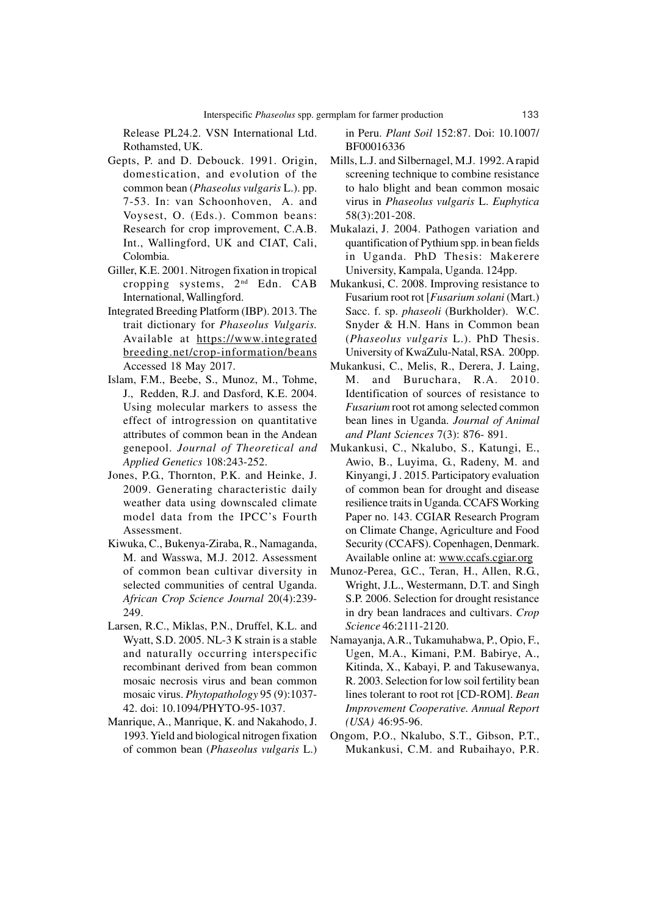Release PL24.2. VSN International Ltd. Rothamsted, UK.

- Gepts, P. and D. Debouck. 1991. Origin, domestication, and evolution of the common bean (*Phaseolus vulgaris* L.). pp. 7-53. In: van Schoonhoven, A. and Voysest, O. (Eds.). Common beans: Research for crop improvement, C.A.B. Int., Wallingford, UK and CIAT, Cali, Colombia.
- Giller, K.E. 2001. Nitrogen fixation in tropical cropping systems, 2nd Edn. CAB International, Wallingford.
- Integrated Breeding Platform (IBP). 2013. The trait dictionary for *Phaseolus Vulgaris.* Available at https://www.integrated breeding.net/crop-information/beans Accessed 18 May 2017.
- Islam, F.M., Beebe, S., Munoz, M., Tohme, J., Redden, R.J. and Dasford, K.E. 2004. Using molecular markers to assess the effect of introgression on quantitative attributes of common bean in the Andean genepool. *Journal of Theoretical and Applied Genetics* 108:243-252.
- Jones, P.G., Thornton, P.K. and Heinke, J. 2009. Generating characteristic daily weather data using downscaled climate model data from the IPCC's Fourth Assessment.
- Kiwuka, C., Bukenya-Ziraba, R., Namaganda, M. and Wasswa, M.J. 2012. Assessment of common bean cultivar diversity in selected communities of central Uganda. *African Crop Science Journal* 20(4):239- 249.
- Larsen, R.C., Miklas, P.N., Druffel, K.L. and Wyatt, S.D. 2005. NL-3 K strain is a stable and naturally occurring interspecific recombinant derived from bean common mosaic necrosis virus and bean common mosaic virus. *Phytopathology* 95 (9):1037- 42. doi: 10.1094/PHYTO-95-1037.
- Manrique, A., Manrique, K. and Nakahodo, J. 1993. Yield and biological nitrogen fixation of common bean (*Phaseolus vulgaris* L.)

in Peru. *Plant Soil* 152:87. Doi: 10.1007/ BF00016336

- Mills, L.J. and Silbernagel, M.J. 1992. A rapid screening technique to combine resistance to halo blight and bean common mosaic virus in *Phaseolus vulgaris* L. *Euphytica* 58(3):201-208.
- Mukalazi, J. 2004. Pathogen variation and quantification of Pythium spp. in bean fields in Uganda. PhD Thesis: Makerere University, Kampala, Uganda. 124pp.
- Mukankusi, C. 2008. Improving resistance to Fusarium root rot [*Fusarium solani* (Mart.) Sacc. f. sp. *phaseoli* (Burkholder). W.C. Snyder & H.N. Hans in Common bean (*Phaseolus vulgaris* L.). PhD Thesis. University of KwaZulu-Natal, RSA. 200pp.
- Mukankusi, C., Melis, R., Derera, J. Laing, M. and Buruchara, R.A. 2010. Identification of sources of resistance to *Fusarium* root rot among selected common bean lines in Uganda. *Journal of Animal and Plant Sciences* 7(3): 876- 891.
- Mukankusi, C., Nkalubo, S., Katungi, E., Awio, B., Luyima, G., Radeny, M. and Kinyangi, J . 2015. Participatory evaluation of common bean for drought and disease resilience traits in Uganda. CCAFS Working Paper no. 143. CGIAR Research Program on Climate Change, Agriculture and Food Security (CCAFS). Copenhagen, Denmark. Available online at: www.ccafs.cgiar.org
- Munoz-Perea, G.C., Teran, H., Allen, R.G., Wright, J.L., Westermann, D.T. and Singh S.P. 2006. Selection for drought resistance in dry bean landraces and cultivars. *Crop Science* 46:2111-2120.
- Namayanja, A.R., Tukamuhabwa, P., Opio, F., Ugen, M.A., Kimani, P.M. Babirye, A., Kitinda, X., Kabayi, P. and Takusewanya, R. 2003. Selection for low soil fertility bean lines tolerant to root rot [CD-ROM]. *Bean Improvement Cooperative. Annual Report (USA)* 46:95-96.
- Ongom, P.O., Nkalubo, S.T., Gibson, P.T., Mukankusi, C.M. and Rubaihayo, P.R.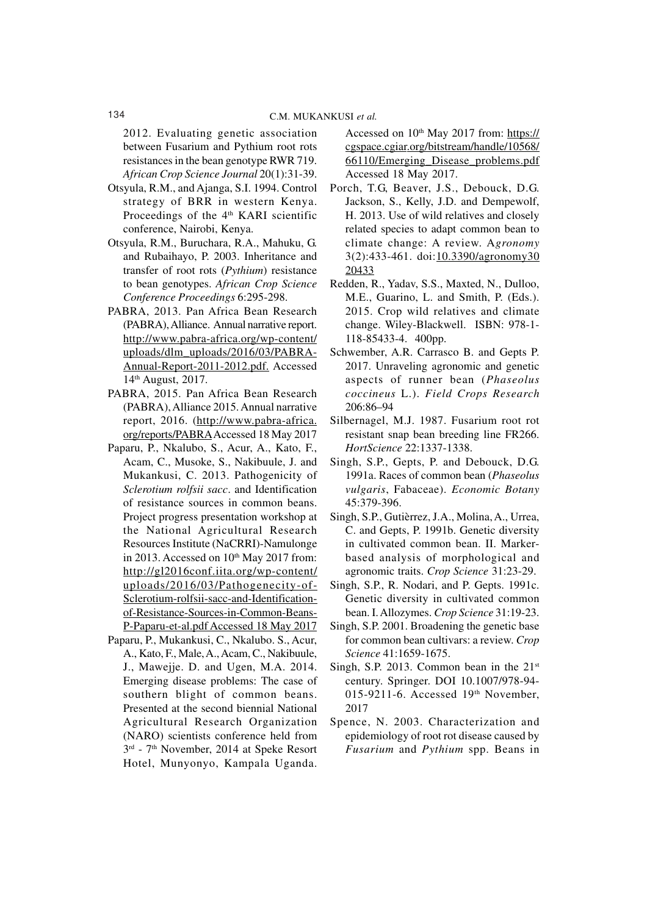2012. Evaluating genetic association between Fusarium and Pythium root rots resistances in the bean genotype RWR 719. *African Crop Science Journal* 20(1):31-39.

- Otsyula, R.M., and Ajanga, S.I. 1994. Control strategy of BRR in western Kenya. Proceedings of the 4<sup>th</sup> KARI scientific conference, Nairobi, Kenya.
- Otsyula, R.M., Buruchara, R.A., Mahuku, G. and Rubaihayo, P. 2003. Inheritance and transfer of root rots (*Pythium*) resistance to bean genotypes. *African Crop Science Conference Proceedings* 6:295-298.
- PABRA, 2013. Pan Africa Bean Research (PABRA), Alliance. Annual narrative report. http://www.pabra-africa.org/wp-content/ uploads/dlm\_uploads/2016/03/PABRA-Annual-Report-2011-2012.pdf. Accessed 14th August, 2017.
- PABRA, 2015. Pan Africa Bean Research (PABRA), Alliance 2015. Annual narrative report, 2016. (http://www.pabra-africa. org/reports/PABRAAccessed 18 May 2017
- Paparu, P., Nkalubo, S., Acur, A., Kato, F., Acam, C., Musoke, S., Nakibuule, J. and Mukankusi, C. 2013. Pathogenicity of *Sclerotium rolfsii sacc*. and Identification of resistance sources in common beans. Project progress presentation workshop at the National Agricultural Research Resources Institute (NaCRRI)-Namulonge in 2013. Accessed on  $10<sup>th</sup>$  May 2017 from: http://gl2016conf.iita.org/wp-content/ uploads/2016/03/Pathogenecity-of-Sclerotium-rolfsii-sacc-and-Identificationof-Resistance-Sources-in-Common-Beans-P-Paparu-et-al.pdf Accessed 18 May 2017
- Paparu, P., Mukankusi, C., Nkalubo. S., Acur, A., Kato, F., Male, A., Acam, C., Nakibuule, J., Mawejje. D. and Ugen, M.A. 2014. Emerging disease problems: The case of southern blight of common beans. Presented at the second biennial National Agricultural Research Organization (NARO) scientists conference held from 3<sup>rd</sup> - 7<sup>th</sup> November, 2014 at Speke Resort Hotel, Munyonyo, Kampala Uganda.

Accessed on 10<sup>th</sup> May 2017 from: https:// cgspace.cgiar.org/bitstream/handle/10568/ 66110/Emerging\_Disease\_problems.pdf Accessed 18 May 2017.

- Porch, T.G, Beaver, J.S., Debouck, D.G. Jackson, S., Kelly, J.D. and Dempewolf, H. 2013. Use of wild relatives and closely related species to adapt common bean to climate change: A review. A*gronomy* 3(2):433-461. doi:10.3390/agronomy30 20433
- Redden, R., Yadav, S.S., Maxted, N., Dulloo, M.E., Guarino, L. and Smith, P. (Eds.). 2015. Crop wild relatives and climate change. Wiley-Blackwell. ISBN: 978-1- 118-85433-4. 400pp.
- Schwember, A.R. Carrasco B. and Gepts P. 2017. Unraveling agronomic and genetic aspects of runner bean (*Phaseolus coccineus* L.). *Field Crops Research* 206:86–94
- Silbernagel, M.J. 1987. Fusarium root rot resistant snap bean breeding line FR266. *HortScience* 22:1337-1338.
- Singh, S.P., Gepts, P. and Debouck, D.G. 1991a. Races of common bean (*Phaseolus vulgaris*, Fabaceae). *Economic Botany* 45:379-396.
- Singh, S.P., Gutièrrez, J.A., Molina, A., Urrea, C. and Gepts, P. 1991b. Genetic diversity in cultivated common bean. II. Markerbased analysis of morphological and agronomic traits. *Crop Science* 31:23-29.
- Singh, S.P., R. Nodari, and P. Gepts. 1991c. Genetic diversity in cultivated common bean. I. Allozymes. *Crop Science* 31:19-23.
- Singh, S.P. 2001. Broadening the genetic base for common bean cultivars: a review. *Crop Science* 41:1659-1675.
- Singh, S.P. 2013. Common bean in the  $21<sup>st</sup>$ century. Springer. DOI 10.1007/978-94- 015-9211-6. Accessed  $19<sup>th</sup>$  November, 2017
- Spence, N. 2003. Characterization and epidemiology of root rot disease caused by *Fusarium* and *Pythium* spp. Beans in